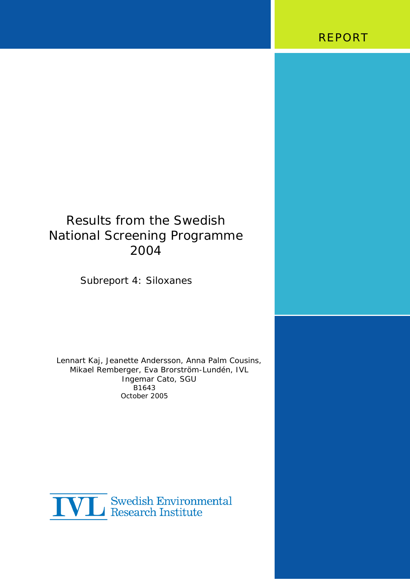# Results from the Swedish National Screening Programme 2004

Subreport 4: Siloxanes

Lennart Kaj, Jeanette Andersson, Anna Palm Cousins, Mikael Remberger, Eva Brorström-Lundén, IVL Ingemar Cato, SGU B1643 October 2005

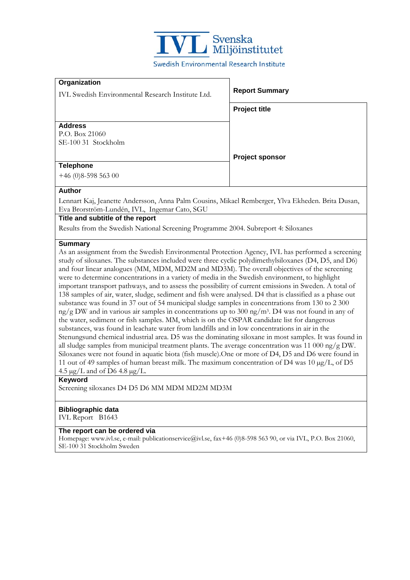

Swedish Environmental Research Institute

| Organization                                      |                        |
|---------------------------------------------------|------------------------|
| IVL Swedish Environmental Research Institute Ltd. | <b>Report Summary</b>  |
|                                                   | <b>Project title</b>   |
| <b>Address</b>                                    |                        |
| P.O. Box 21060                                    |                        |
| SE-100 31 Stockholm                               |                        |
|                                                   | <b>Project sponsor</b> |
| <b>Telephone</b>                                  |                        |
| $+46$ (0)8-598 563 00                             |                        |
| $A$ <sub>11</sub> ther                            |                        |

#### **Author**

Lennart Kaj, Jeanette Andersson, Anna Palm Cousins, Mikael Remberger, Ylva Ekheden. Brita Dusan, Eva Brorström-Lundén, IVL, Ingemar Cato, SGU

#### **Title and subtitle of the report**

Results from the Swedish National Screening Programme 2004. Subreport 4: Siloxanes

#### **Summary**

As an assignment from the Swedish Environmental Protection Agency, IVL has performed a screening study of siloxanes. The substances included were three cyclic polydimethylsiloxanes (D4, D5, and D6) and four linear analogues (MM, MDM, MD2M and MD3M). The overall objectives of the screening were to determine concentrations in a variety of media in the Swedish environment, to highlight important transport pathways, and to assess the possibility of current emissions in Sweden. A total of 138 samples of air, water, sludge, sediment and fish were analysed. D4 that is classified as a phase out substance was found in 37 out of 54 municipal sludge samples in concentrations from 130 to 2 300 ng/g DW and in various air samples in concentrations up to 300 ng/m<sup>3</sup>. D4 was not found in any of the water, sediment or fish samples. MM, which is on the OSPAR candidate list for dangerous substances, was found in leachate water from landfills and in low concentrations in air in the Stenungsund chemical industrial area. D5 was the dominating siloxane in most samples. It was found in all sludge samples from municipal treatment plants. The average concentration was 11 000 ng/g DW. Siloxanes were not found in aquatic biota (fish muscle).One or more of D4, D5 and D6 were found in 11 out of 49 samples of human breast milk. The maximum concentration of D4 was 10 µg/L, of D5 4.5  $\mu$ g/L and of D6 4.8  $\mu$ g/L.

#### **Keyword**

Screening siloxanes D4 D5 D6 MM MDM MD2M MD3M

#### **Bibliographic data**

IVL Report B1643

#### **The report can be ordered via**

Homepage: www.ivl.se, e-mail: publicationservice@ivl.se, fax+46 (0)8-598 563 90, or via IVL, P.O. Box 21060, SE-100 31 Stockholm Sweden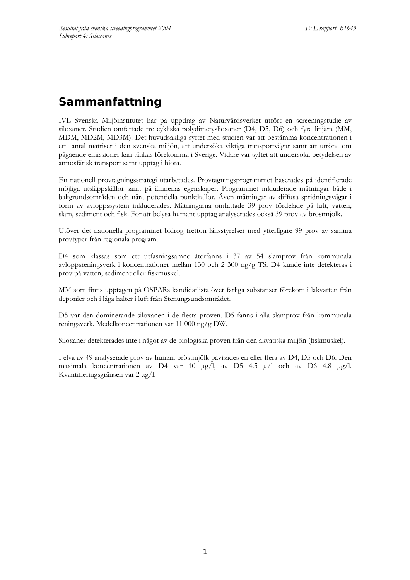# **Sammanfattning**

IVL Svenska Miljöinstitutet har på uppdrag av Naturvårdsverket utfört en screeningstudie av siloxaner. Studien omfattade tre cykliska polydimetyslioxaner (D4, D5, D6) och fyra linjära (MM, MDM, MD2M, MD3M). Det huvudsakliga syftet med studien var att bestämma koncentrationen i ett antal matriser i den svenska miljön, att undersöka viktiga transportvägar samt att utröna om pågående emissioner kan tänkas förekomma i Sverige. Vidare var syftet att undersöka betydelsen av atmosfärisk transport samt upptag i biota.

En nationell provtagningsstrategi utarbetades. Provtagningsprogrammet baserades på identifierade möjliga utsläppskällor samt på ämnenas egenskaper. Programmet inkluderade mätningar både i bakgrundsområden och nära potentiella punktkällor. Även mätningar av diffusa spridningsvägar i form av avloppssystem inkluderades. Mätningarna omfattade 39 prov fördelade på luft, vatten, slam, sediment och fisk. För att belysa humant upptag analyserades också 39 prov av bröstmjölk.

Utöver det nationella programmet bidrog tretton länsstyrelser med ytterligare 99 prov av samma provtyper från regionala program.

D4 som klassas som ett utfasningsämne återfanns i 37 av 54 slamprov från kommunala avloppsreningsverk i koncentrationer mellan 130 och 2 300 ng/g TS. D4 kunde inte detekteras i prov på vatten, sediment eller fiskmuskel.

MM som finns upptagen på OSPARs kandidatlista över farliga substanser förekom i lakvatten från deponier och i låga halter i luft från Stenungsundsområdet.

D5 var den dominerande siloxanen i de flesta proven. D5 fanns i alla slamprov från kommunala reningsverk. Medelkoncentrationen var 11 000 ng/g DW.

Siloxaner detekterades inte i något av de biologiska proven från den akvatiska miljön (fiskmuskel).

I elva av 49 analyserade prov av human bröstmjölk påvisades en eller flera av D4, D5 och D6. Den maximala koncentrationen av D4 var 10  $\mu g/l$ , av D5 4.5  $\mu/l$  och av D6 4.8  $\mu g/l$ . Kvantifieringsgränsen var 2 µg/l.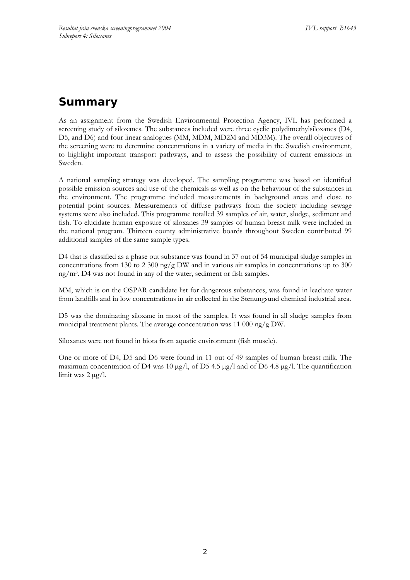## **Summary**

As an assignment from the Swedish Environmental Protection Agency, IVL has performed a screening study of siloxanes. The substances included were three cyclic polydimethylsiloxanes (D4, D5, and D6) and four linear analogues (MM, MDM, MD2M and MD3M). The overall objectives of the screening were to determine concentrations in a variety of media in the Swedish environment, to highlight important transport pathways, and to assess the possibility of current emissions in Sweden.

A national sampling strategy was developed. The sampling programme was based on identified possible emission sources and use of the chemicals as well as on the behaviour of the substances in the environment. The programme included measurements in background areas and close to potential point sources. Measurements of diffuse pathways from the society including sewage systems were also included. This programme totalled 39 samples of air, water, sludge, sediment and fish. To elucidate human exposure of siloxanes 39 samples of human breast milk were included in the national program. Thirteen county administrative boards throughout Sweden contributed 99 additional samples of the same sample types.

D4 that is classified as a phase out substance was found in 37 out of 54 municipal sludge samples in concentrations from 130 to 2 300 ng/g DW and in various air samples in concentrations up to 300  $ng/m<sup>3</sup>$ . D4 was not found in any of the water, sediment or fish samples.

MM, which is on the OSPAR candidate list for dangerous substances, was found in leachate water from landfills and in low concentrations in air collected in the Stenungsund chemical industrial area.

D5 was the dominating siloxane in most of the samples. It was found in all sludge samples from municipal treatment plants. The average concentration was 11 000 ng/g DW.

Siloxanes were not found in biota from aquatic environment (fish muscle).

One or more of D4, D5 and D6 were found in 11 out of 49 samples of human breast milk. The maximum concentration of D4 was 10  $\mu$ g/l, of D5 4.5  $\mu$ g/l and of D6 4.8  $\mu$ g/l. The quantification limit was  $2 \mu g/l$ .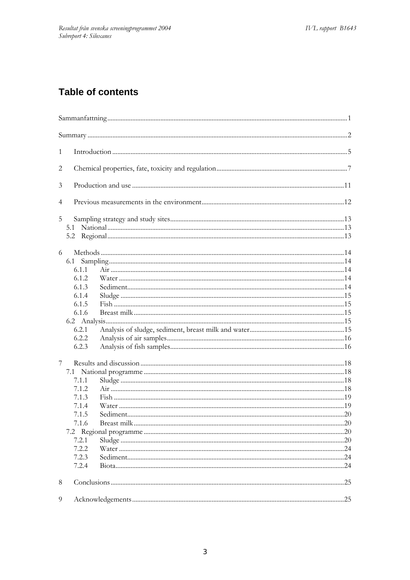### **Table of contents**

| 1              |       |  |
|----------------|-------|--|
| $\overline{2}$ |       |  |
| 3              |       |  |
| 4              |       |  |
| 5              |       |  |
|                | 5.1   |  |
|                |       |  |
| 6              |       |  |
|                |       |  |
|                | 6.1.1 |  |
|                | 6.1.2 |  |
|                | 6.1.3 |  |
|                | 6.1.4 |  |
|                | 6.1.5 |  |
|                | 6.1.6 |  |
|                |       |  |
|                | 6.2.1 |  |
|                | 6.2.2 |  |
|                | 6.2.3 |  |
| 7              |       |  |
|                |       |  |
|                | 7.1.1 |  |
|                | 7.1.2 |  |
|                | 7.1.3 |  |
|                | 7.1.4 |  |
|                | 7.1.5 |  |
|                | 7.1.6 |  |
|                |       |  |
|                | 7.2.1 |  |
|                | 7.2.2 |  |
|                | 7.2.3 |  |
|                | 7.2.4 |  |
| 8              |       |  |
| 9              |       |  |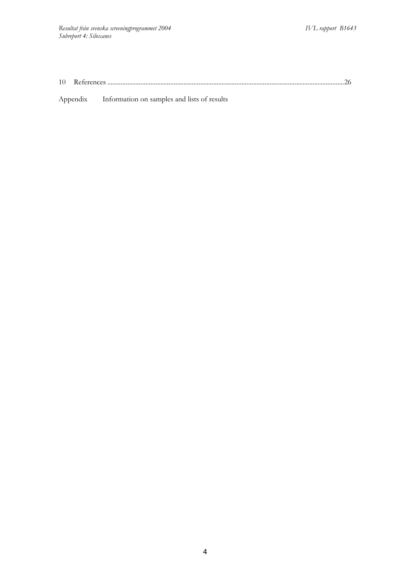10 References ...............................................................................................................................................26

Appendix Information on samples and lists of results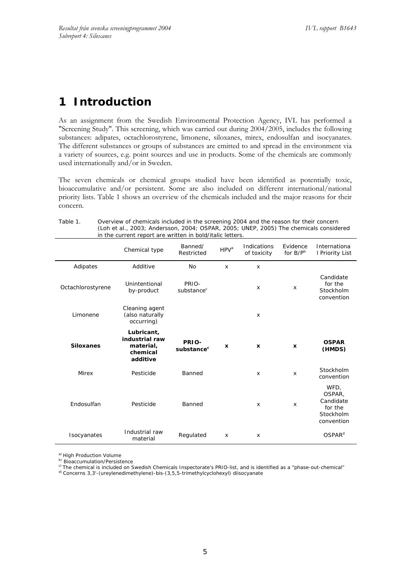## **1 Introduction**

As an assignment from the Swedish Environmental Protection Agency, IVL has performed a "Screening Study". This screening, which was carried out during 2004/2005, includes the following substances: adipates, octachlorostyrene, limonene, siloxanes, mirex, endosulfan and isocyanates. The different substances or groups of substances are emitted to and spread in the environment via a variety of sources, e.g. point sources and use in products. Some of the chemicals are commonly used internationally and/or in Sweden.

The seven chemicals or chemical groups studied have been identified as potentially toxic, bioaccumulative and/or persistent. Some are also included on different international/national priority lists. Table 1 shows an overview of the chemicals included and the major reasons for their concern.

| Table 1. | Overview of chemicals included in the screening 2004 and the reason for their concern |
|----------|---------------------------------------------------------------------------------------|
|          | (Loh et al., 2003; Andersson, 2004; OSPAR, 2005; UNEP, 2005) The chemicals considered |
|          | in the current report are written in bold/italic letters.                             |

|                   | Chemical type                                                            | Banned/<br>Restricted           | HPV <sup>a</sup> | Indications<br>of toxicity | Evidence<br>for $B/P^b$   | Internationa<br>I Priority List                                   |
|-------------------|--------------------------------------------------------------------------|---------------------------------|------------------|----------------------------|---------------------------|-------------------------------------------------------------------|
| Adipates          | Additive                                                                 | <b>No</b>                       | $\mathsf{x}$     | $\mathsf{x}$               |                           |                                                                   |
| Octachlorostyrene | Unintentional<br>by-product                                              | PRIO-<br>substance <sup>c</sup> |                  | X                          | $\boldsymbol{\mathsf{x}}$ | Candidate<br>for the<br>Stockholm<br>convention                   |
| Limonene          | Cleaning agent<br>(also naturally<br>occurring)                          |                                 |                  | X                          |                           |                                                                   |
| <b>Siloxanes</b>  | Lubricant,<br><i>industrial raw</i><br>material,<br>chemical<br>additive | PRIO-<br>substance <sup>c</sup> | $\boldsymbol{x}$ | $\boldsymbol{x}$           | $\boldsymbol{x}$          | <b>OSPAR</b><br>(HMDS)                                            |
| Mirex             | Pesticide                                                                | Banned                          |                  | X                          | $\boldsymbol{\mathsf{x}}$ | Stockholm<br>convention                                           |
| Endosulfan        | Pesticide                                                                | Banned                          |                  | X                          | $\boldsymbol{\mathsf{x}}$ | WFD,<br>OSPAR.<br>Candidate<br>for the<br>Stockholm<br>convention |
| Isocyanates       | Industrial raw<br>material                                               | Regulated                       | X                | X                          |                           | OSPAR <sup>d</sup>                                                |

a) High Production Volume

b) Bioaccumulation/Persistence

c) The chemical is included on Swedish Chemicals Inspectorate's PRIO-list, and is identified as a "phase-out-chemical"

d) Concerns 3,3'-(ureylenedimethylene)-bis-(3,5,5-trimethylcyclohexyl) diisocyanate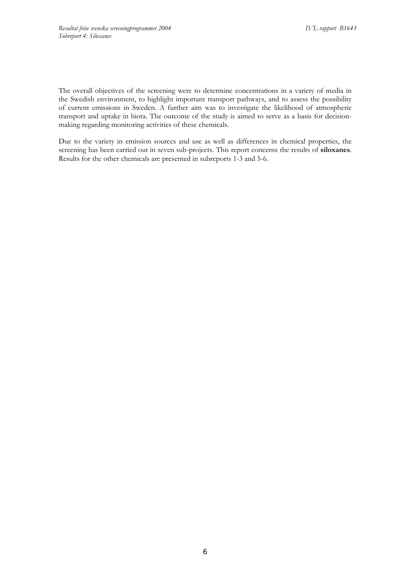The overall objectives of the screening were to determine concentrations in a variety of media in the Swedish environment, to highlight important transport pathways, and to assess the possibility of current emissions in Sweden. A further aim was to investigate the likelihood of atmospheric transport and uptake in biota. The outcome of the study is aimed to serve as a basis for decisionmaking regarding monitoring activities of these chemicals.

Due to the variety in emission sources and use as well as differences in chemical properties, the screening has been carried out in seven sub-projects. This report concerns the results of **siloxanes**. Results for the other chemicals are presented in subreports 1-3 and 5-6.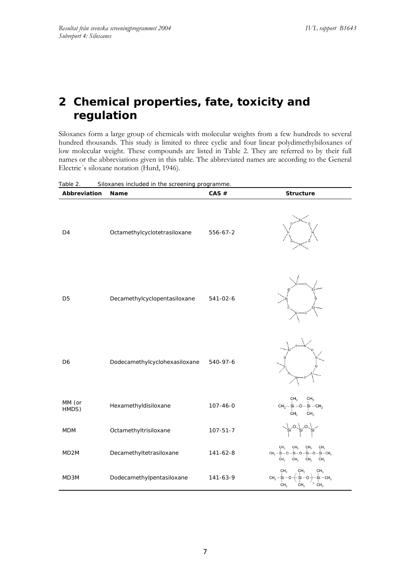## **2 Chemical properties, fate, toxicity and regulation**

Siloxanes form a large group of chemicals with molecular weights from a few hundreds to several hundred thousands. This study is limited to three cyclic and four linear polydimethylsiloxanes of low molecular weight. These compounds are listed in Table 2. They are referred to by their full names or the abbreviations given in this table. The abbreviated names are according to the General Electric´s siloxane notation (Hurd, 1946).

| Abbreviation      | Name                          | CAS#           | <b>Structure</b>                                                                                                                                                                       |
|-------------------|-------------------------------|----------------|----------------------------------------------------------------------------------------------------------------------------------------------------------------------------------------|
| D <sub>4</sub>    | Octamethylcyclotetrasiloxane  | 556-67-2       |                                                                                                                                                                                        |
| D <sub>5</sub>    | Decamethylcyclopentasiloxane  | $541 - 02 - 6$ |                                                                                                                                                                                        |
| D <sub>6</sub>    | Dodecamethylcyclohexasiloxane | 540-97-6       |                                                                                                                                                                                        |
| MM (or<br>HMDS)   | Hexamethyldisiloxane          | $107 - 46 - 0$ | CH <sub>3</sub><br>CH <sub>3</sub><br>$CH_3 - Si -$<br>Si –<br>-CН <sub>3</sub><br>CH <sub>3</sub><br>CH <sub>3</sub>                                                                  |
| <b>MDM</b>        | Octamethyltrisiloxane         | $107 - 51 - 7$ |                                                                                                                                                                                        |
| MD <sub>2</sub> M | Decamethyltetrasiloxane       | $141 - 62 - 8$ | CH <sub>3</sub><br>CH.<br>CH <sub>3</sub><br>CH <sub>3</sub><br>$-Si-O-Si-CH3$<br>$CH_3 - Si - O - Si - O$<br>CH <sub>3</sub><br>CH <sub>3</sub><br>ĊН <sub>3</sub><br>CH <sub>3</sub> |
| MD3M              | Dodecamethylpentasiloxane     | 141-63-9       | CH <sub>3</sub><br>CH <sub>3</sub><br>CH <sub>3</sub><br>$CH_3 - Si - O$<br>Si -CH,<br>CH <sub>3</sub><br>ĊН,<br>CH <sub>3</sub>                                                       |

Table 2. Siloxanes included in the screening programme.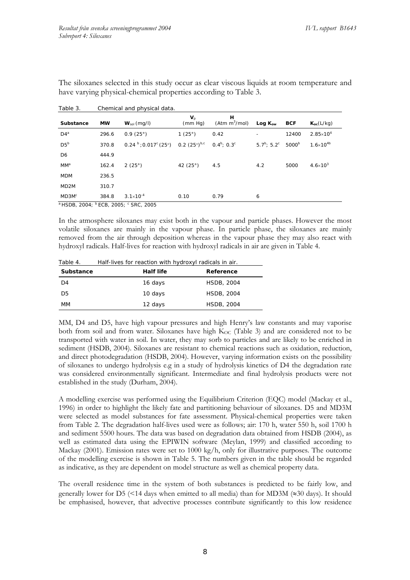The siloxanes selected in this study occur as clear viscous liquids at room temperature and have varying physical-chemical properties according to Table 3.

| МW    | $W_{sol}$ (mg/l)     | (mm Hq)          |         | Log $K_{\alpha w}$                                                                                      | <b>BCF</b>        | $K_{oc}(L/kg)$                |
|-------|----------------------|------------------|---------|---------------------------------------------------------------------------------------------------------|-------------------|-------------------------------|
| 296.6 | $0.9(25^{\circ})$    | 1 $(25^{\circ})$ | 0.42    |                                                                                                         | 12400             | $2.85 \times 10^{4}$          |
| 370.8 |                      |                  |         |                                                                                                         | 5000 <sup>b</sup> | $1.6 \times 10^{4b}$          |
| 444.9 |                      |                  |         |                                                                                                         |                   |                               |
| 162.4 | 2(25°)               | 42 $(25°)$       | 4.5     | 4.2                                                                                                     | 5000              | $4.6 \times 10^{3}$           |
| 236.5 |                      |                  |         |                                                                                                         |                   |                               |
| 310.7 |                      |                  |         |                                                                                                         |                   |                               |
| 384.8 | $3.1 \times 10^{-4}$ | 0.10             | 0.79    | 6                                                                                                       |                   |                               |
|       |                      |                  | $V_{p}$ | н<br>$0.24^{b}$ ; 0.017 <sup>c</sup> (25°) 0.2 (25°) <sup>b,c</sup> 0.4 <sup>b</sup> ; 0.3 <sup>c</sup> | (Atm $m^3$ /mol)  | $5.7^{\rm b}$ : $5.2^{\rm c}$ |

Table 3. Chemical and physical data.

<sup>a</sup> HSDB, 2004; b ECB, 2005; c SRC, 2005

In the atmosphere siloxanes may exist both in the vapour and particle phases. However the most volatile siloxanes are mainly in the vapour phase. In particle phase, the siloxanes are mainly removed from the air through deposition whereas in the vapour phase they may also react with hydroxyl radicals. Half-lives for reaction with hydroxyl radicals in air are given in Table 4.

| Table 4. |  | Half-lives for reaction with hydroxyl radicals in air. |
|----------|--|--------------------------------------------------------|
|          |  |                                                        |

| <b>Substance</b> | <b>Half life</b> | Reference         |
|------------------|------------------|-------------------|
| D4               | 16 days          | <b>HSDB, 2004</b> |
| D5               | 10 days          | <b>HSDB, 2004</b> |
| MМ               | 12 days          | <b>HSDB, 2004</b> |

MM, D4 and D5, have high vapour pressures and high Henry's law constants and may vaporise both from soil and from water. Siloxanes have high  $K_{OC}$  (Table 3) and are considered not to be transported with water in soil. In water, they may sorb to particles and are likely to be enriched in sediment (HSDB, 2004). Siloxanes are resistant to chemical reactions such as oxidation, reduction, and direct photodegradation (HSDB, 2004). However, varying information exists on the possibility of siloxanes to undergo hydrolysis e.g in a study of hydrolysis kinetics of D4 the degradation rate was considered environmentally significant. Intermediate and final hydrolysis products were not established in the study (Durham, 2004).

A modelling exercise was performed using the Equilibrium Criterion (EQC) model (Mackay et al., 1996) in order to highlight the likely fate and partitioning behaviour of siloxanes. D5 and MD3M were selected as model substances for fate assessment. Physical-chemical properties were taken from Table 2. The degradation half-lives used were as follows; air: 170 h, water 550 h, soil 1700 h and sediment 5500 hours. The data was based on degradation data obtained from HSDB (2004), as well as estimated data using the EPIWIN software (Meylan, 1999) and classified according to Mackay (2001). Emission rates were set to 1000 kg/h, only for illustrative purposes. The outcome of the modelling exercise is shown in Table 5. The numbers given in the table should be regarded as indicative, as they are dependent on model structure as well as chemical property data.

The overall residence time in the system of both substances is predicted to be fairly low, and generally lower for D5 (<14 days when emitted to all media) than for MD3M ( $\approx$ 30 days). It should be emphasised, however, that advective processes contribute significantly to this low residence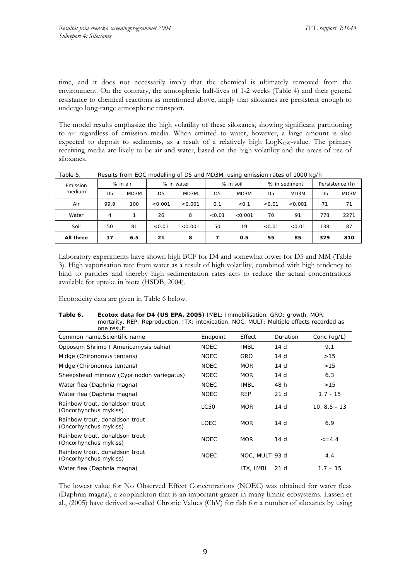time, and it does not necessarily imply that the chemical is ultimately removed from the environment. On the contrary, the atmospheric half-lives of 1-2 weeks (Table 4) and their general resistance to chemical reactions as mentioned above, imply that siloxanes are persistent enough to undergo long-range atmospheric transport.

The model results emphasize the high volatility of these siloxanes, showing significant partitioning to air regardless of emission media. When emitted to water, however, a large amount is also expected to deposit to sediments, as a result of a relatively high  $LogK<sub>OW</sub>$ -value. The primary receiving media are likely to be air and water, based on the high volatility and the areas of use of siloxanes.

| Emission  | % in air       |      | % in water     |         | % in soil      |         | % in sediment  |         | Persistence (h) |      |
|-----------|----------------|------|----------------|---------|----------------|---------|----------------|---------|-----------------|------|
| medium    | D <sub>5</sub> | MD3M | D <sub>5</sub> | MD3M    | D <sub>5</sub> | MD3M    | D <sub>5</sub> | MD3M    | D <sub>5</sub>  | MD3M |
| Air       | 99.9           | 100  | < 0.001        | < 0.001 | 0.1            | < 0.1   | < 0.01         | < 0.001 | 71              | 71   |
| Water     | 4              |      | 26             | 8       | < 0.01         | < 0.001 | 70             | 91      | 778             | 2271 |
| Soil      | 50             | 81   | < 0.01         | < 0.001 | 50             | 19      | < 0.01         | < 0.01  | 138             | 87   |
| All three | 17             | 6.5  | 21             | 8       | 7              | 0.5     | 55             | 85      | 329             | 810  |

Table 5. Results from EQC modelling of D5 and MD3M, using emission rates of 1000 kg/h

Laboratory experiments have shown high BCF for D4 and somewhat lower for D5 and MM (Table 3). High vaporisation rate from water as a result of high volatility, combined with high tendency to bind to particles and thereby high sedimentation rates acts to reduce the actual concentrations available for uptake in biota (HSDB, 2004).

Ecotoxicity data are given in Table 6 below.

| Table 6. | <b>Ecotox data for D4 (US EPA, 2005) IMBL: Immobilisation, GRO: growth, MOR:</b>         |
|----------|------------------------------------------------------------------------------------------|
|          | mortality, REP: Reproduction, ITX: intoxication, NOC, MULT: Multiple effects recorded as |
|          | ana roquit                                                                               |

| one result                                              |             |                |          |                |
|---------------------------------------------------------|-------------|----------------|----------|----------------|
| Common name, Scientific name                            | Endpoint    | Effect         | Duration | Conc $(uq/L)$  |
| Opposum Shrimp (Americamysis bahia)                     | <b>NOEC</b> | <b>IMBL</b>    | 14d      | 9.1            |
| Midge (Chironomus tentans)                              | <b>NOEC</b> | <b>GRO</b>     | 14 d     | >15            |
| Midge (Chironomus tentans)                              | <b>NOEC</b> | <b>MOR</b>     | 14 d     | >15            |
| Sheepshead minnow (Cyprinodon variegatus)               | <b>NOEC</b> | <b>MOR</b>     | 14 d     | 6.3            |
| Water flea (Daphnia magna)                              | <b>NOEC</b> | <b>IMBL</b>    | 48 h     | >15            |
| Water flea (Daphnia magna)                              | <b>NOEC</b> | <b>REP</b>     | 21d      | $1.7 - 15$     |
| Rainbow trout, donaldson trout<br>(Oncorhynchus mykiss) | LC50        | <b>MOR</b>     | 14d      | $10, 8.5 - 13$ |
| Rainbow trout, donaldson trout<br>(Oncorhynchus mykiss) | LOEC        | <b>MOR</b>     | 14 d     | 6.9            |
| Rainbow trout, donaldson trout<br>(Oncorhynchus mykiss) | <b>NOEC</b> | <b>MOR</b>     | 14d      | $\leq$ = 4.4   |
| Rainbow trout, donaldson trout<br>(Oncorhynchus mykiss) | <b>NOEC</b> | NOC, MULT 93 d |          | 4.4            |
| Water flea (Daphnia magna)                              |             | ITX, IMBL      | 21d      | $1.7 - 15$     |

The lowest value for No Observed Effect Concentrations (NOEC) was obtained for water fleas (Daphnia magna), a zooplankton that is an important grazer in many limnic ecosystems. Lassen et al., (2005) have derived so-called Chronic Values (ChV) for fish for a number of siloxanes by using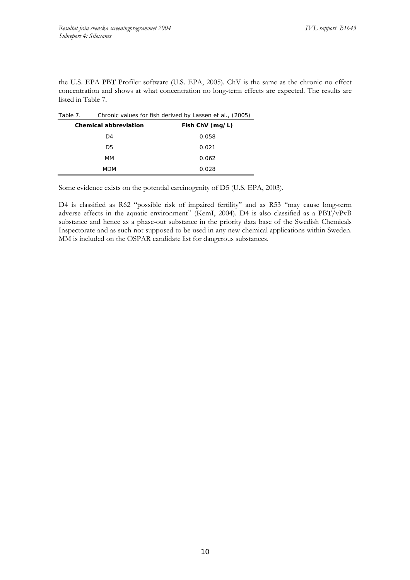the U.S. EPA PBT Profiler software (U.S. EPA, 2005). ChV is the same as the chronic no effect concentration and shows at what concentration no long-term effects are expected. The results are listed in Table 7.

| Table 7. |                              | Chronic values for fish derived by Lassen et al., (2005) |
|----------|------------------------------|----------------------------------------------------------|
|          | <b>Chemical abbreviation</b> | Fish ChV (mg/L)                                          |
|          | D4                           | 0.058                                                    |
|          | D <sub>5</sub>               | 0.021                                                    |
|          | MМ                           | 0.062                                                    |
|          | <b>MDM</b>                   | 0.028                                                    |

Some evidence exists on the potential carcinogenity of D5 (U.S. EPA, 2003).

D4 is classified as R62 "possible risk of impaired fertility" and as R53 "may cause long-term adverse effects in the aquatic environment" (KemI, 2004). D4 is also classified as a PBT/vPvB substance and hence as a phase-out substance in the priority data base of the Swedish Chemicals Inspectorate and as such not supposed to be used in any new chemical applications within Sweden. MM is included on the OSPAR candidate list for dangerous substances.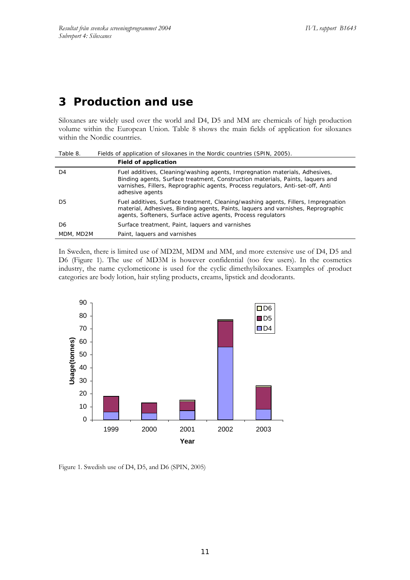# **3 Production and use**

Siloxanes are widely used over the world and D4, D5 and MM are chemicals of high production volume within the European Union. Table 8 shows the main fields of application for siloxanes within the Nordic countries.

Table 8. Fields of application of siloxanes in the Nordic countries (SPIN, 2005).

|                | <b>Field of application</b>                                                                                                                                                                                                                                         |
|----------------|---------------------------------------------------------------------------------------------------------------------------------------------------------------------------------------------------------------------------------------------------------------------|
| D4             | Fuel additives, Cleaning/washing agents, Impregnation materials, Adhesives,<br>Binding agents, Surface treatment, Construction materials, Paints, laguers and<br>varnishes, Fillers, Reprographic agents, Process regulators, Anti-set-off, Anti<br>adhesive agents |
| D <sub>5</sub> | Fuel additives, Surface treatment, Cleaning/washing agents, Fillers, Impregnation<br>material, Adhesives, Binding agents, Paints, laguers and varnishes, Reprographic<br>agents, Softeners, Surface active agents, Process regulators                               |
| D6             | Surface treatment, Paint, laguers and varnishes                                                                                                                                                                                                                     |
| MDM, MD2M      | Paint, laguers and varnishes                                                                                                                                                                                                                                        |

In Sweden, there is limited use of MD2M, MDM and MM, and more extensive use of D4, D5 and D6 (Figure 1). The use of MD3M is however confidential (too few users). In the cosmetics industry, the name cyclometicone is used for the cyclic dimethylsiloxanes. Examples of .product categories are body lotion, hair styling products, creams, lipstick and deodorants.



Figure 1. Swedish use of D4, D5, and D6 (SPIN, 2005)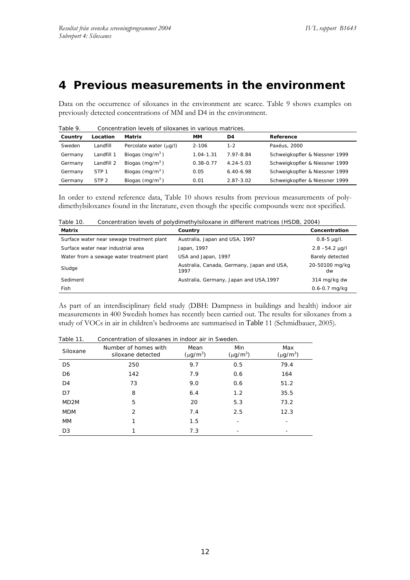Data on the occurrence of siloxanes in the environment are scarce. Table 9 shows examples on previously detected concentrations of MM and D4 in the environment.

| Table 9. |                  | Concentration levels of siloxanes in various matrices. |               |               |                                |
|----------|------------------|--------------------------------------------------------|---------------|---------------|--------------------------------|
| Country  | Location         | Matrix                                                 | MМ            | D4            | Reference                      |
| Sweden   | Landfill         | Percolate water (µq/l)                                 | $2 - 106$     | $1 - 2$       | Paxéus, 2000                   |
| Germany  | Landfill 1       | Biogas $(mq/m3)$                                       | $1.04 - 1.31$ | 7.97-8.84     | Schweigkopfler & Niessner 1999 |
| Germany  | Landfill 2       | Biogas (mg/m $3$ )                                     | $0.38 - 0.77$ | $4.24 - 5.03$ | Schweigkopfler & Niessner 1999 |
| Germany  | STP <sub>1</sub> | Biogas (mg/m <sup>3</sup> )                            | 0.05          | $6.40 - 6.98$ | Schweigkopfler & Niessner 1999 |
| Germany  | STP <sub>2</sub> | Biogas $(mq/m3)$                                       | 0.01          | 2.87-3.02     | Schweigkopfler & Niessner 1999 |

In order to extend reference data, Table 10 shows results from previous measurements of polydimethylsiloxanes found in the literature, even though the specific compounds were not specified.

Table 10. Concentration levels of polydimethylsiloxane in different matrices (HSDB, 2004)

| Matrix                                    | Country                                            | Concentration        |
|-------------------------------------------|----------------------------------------------------|----------------------|
| Surface water near sewage treatment plant | Australia, Japan and USA, 1997                     | $0.8 - 5$ $\mu$ g/l. |
| Surface water near industrial area        | Japan, 1997                                        | $2.8 - 54.2$ µg/l    |
| Water from a sewage water treatment plant | USA and Japan, 1997                                | Barely detected      |
| Sludge                                    | Australia, Canada, Germany, Japan and USA,<br>1997 | 20-50100 mg/kg<br>dw |
| Sediment                                  | Australia, Germany, Japan and USA, 1997            | 314 mg/kg dw         |
| Fish                                      |                                                    | $0.6 - 0.7$ mg/kg    |

As part of an interdisciplinary field study (DBH: Dampness in buildings and health) indoor air measurements in 400 Swedish homes has recently been carried out. The results for siloxanes from a study of VOCs in air in children's bedrooms are summarised in Table 11 (Schmidbauer, 2005).

| Table 11.         | Concentration of siloxanes in indoor air in Sweden. |                       |                      |                      |
|-------------------|-----------------------------------------------------|-----------------------|----------------------|----------------------|
| Siloxane          | Number of homes with<br>siloxane detected           | Mean<br>$(\mu q/m^3)$ | Min<br>$(\mu g/m^3)$ | Max<br>$(\mu g/m^3)$ |
| D <sub>5</sub>    | 250                                                 | 9.7                   | 0.5                  | 79.4                 |
| D <sub>6</sub>    | 142                                                 | 7.9                   | 0.6                  | 164                  |
| D <sub>4</sub>    | 73                                                  | 9.0                   | 0.6                  | 51.2                 |
| D7                | 8                                                   | 6.4                   | 1.2                  | 35.5                 |
| MD <sub>2</sub> M | 5                                                   | 20                    | 5.3                  | 73.2                 |
| <b>MDM</b>        | 2                                                   | 7.4                   | 2.5                  | 12.3                 |
| <b>MM</b>         |                                                     | 1.5                   | -                    |                      |
| D <sub>3</sub>    |                                                     | 7.3                   |                      |                      |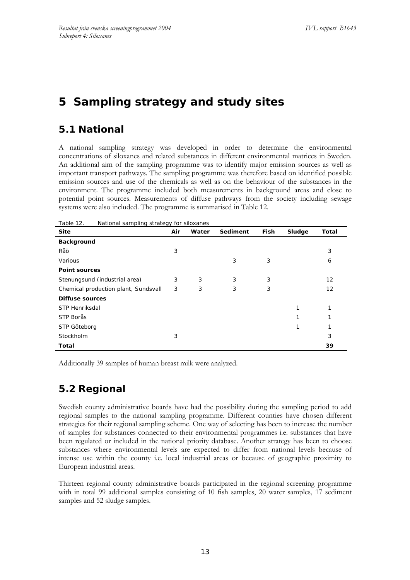# **5 Sampling strategy and study sites**

### **5.1 National**

A national sampling strategy was developed in order to determine the environmental concentrations of siloxanes and related substances in different environmental matrices in Sweden. An additional aim of the sampling programme was to identify major emission sources as well as important transport pathways. The sampling programme was therefore based on identified possible emission sources and use of the chemicals as well as on the behaviour of the substances in the environment. The programme included both measurements in background areas and close to potential point sources. Measurements of diffuse pathways from the society including sewage systems were also included. The programme is summarised in Table 12.

Table 12. National sampling strategy for siloxanes

| <b>Site</b>                          | Air | Water | Sediment | <b>Fish</b> | Sludge | <b>Total</b>      |
|--------------------------------------|-----|-------|----------|-------------|--------|-------------------|
| Background                           |     |       |          |             |        |                   |
| Råö                                  | 3   |       |          |             |        | 3                 |
| Various                              |     |       | 3        | 3           |        | 6                 |
| <b>Point sources</b>                 |     |       |          |             |        |                   |
| Stenungsund (industrial area)        | 3   | 3     | 3        | 3           |        | $12 \overline{ }$ |
| Chemical production plant, Sundsvall | 3   | 3     | 3        | 3           |        | $12 \overline{ }$ |
| <b>Diffuse sources</b>               |     |       |          |             |        |                   |
| STP Henriksdal                       |     |       |          |             | 1      | 1                 |
| STP Borås                            |     |       |          |             | 1      | 1                 |
| STP Göteborg                         |     |       |          |             | 1      | 1                 |
| Stockholm                            | 3   |       |          |             |        | 3                 |
| <b>Total</b>                         |     |       |          |             |        | 39                |

Additionally 39 samples of human breast milk were analyzed.

## **5.2 Regional**

Swedish county administrative boards have had the possibility during the sampling period to add regional samples to the national sampling programme. Different counties have chosen different strategies for their regional sampling scheme. One way of selecting has been to increase the number of samples for substances connected to their environmental programmes i.e. substances that have been regulated or included in the national priority database. Another strategy has been to choose substances where environmental levels are expected to differ from national levels because of intense use within the county i.e. local industrial areas or because of geographic proximity to European industrial areas.

Thirteen regional county administrative boards participated in the regional screening programme with in total 99 additional samples consisting of 10 fish samples, 20 water samples, 17 sediment samples and 52 sludge samples.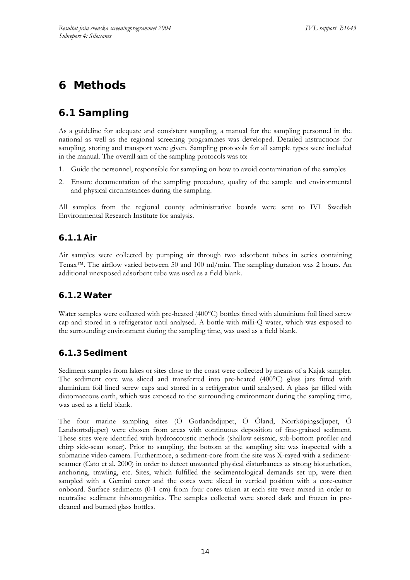# **6 Methods**

## **6.1 Sampling**

As a guideline for adequate and consistent sampling, a manual for the sampling personnel in the national as well as the regional screening programmes was developed. Detailed instructions for sampling, storing and transport were given. Sampling protocols for all sample types were included in the manual. The overall aim of the sampling protocols was to:

- 1. Guide the personnel, responsible for sampling on how to avoid contamination of the samples
- 2. Ensure documentation of the sampling procedure, quality of the sample and environmental and physical circumstances during the sampling.

All samples from the regional county administrative boards were sent to IVL Swedish Environmental Research Institute for analysis.

### **6.1.1Air**

Air samples were collected by pumping air through two adsorbent tubes in series containing Tenax™. The airflow varied between 50 and 100 ml/min. The sampling duration was 2 hours. An additional unexposed adsorbent tube was used as a field blank.

### **6.1.2Water**

Water samples were collected with pre-heated (400°C) bottles fitted with aluminium foil lined screw cap and stored in a refrigerator until analysed. A bottle with milli-Q water, which was exposed to the surrounding environment during the sampling time, was used as a field blank.

### **6.1.3 Sediment**

Sediment samples from lakes or sites close to the coast were collected by means of a Kajak sampler. The sediment core was sliced and transferred into pre-heated (400°C) glass jars fitted with aluminium foil lined screw caps and stored in a refrigerator until analysed. A glass jar filled with diatomaceous earth, which was exposed to the surrounding environment during the sampling time, was used as a field blank.

The four marine sampling sites (Ö Gotlandsdjupet, Ö Öland, Norrköpingsdjupet, Ö Landsortsdjupet) were chosen from areas with continuous deposition of fine-grained sediment. These sites were identified with hydroacoustic methods (shallow seismic, sub-bottom profiler and chirp side-scan sonar). Prior to sampling, the bottom at the sampling site was inspected with a submarine video camera. Furthermore, a sediment-core from the site was X-rayed with a sedimentscanner (Cato et al. 2000) in order to detect unwanted physical disturbances as strong bioturbation, anchoring, trawling, etc. Sites, which fulfilled the sedimentological demands set up, were then sampled with a Gemini corer and the cores were sliced in vertical position with a core-cutter onboard. Surface sediments (0-1 cm) from four cores taken at each site were mixed in order to neutralise sediment inhomogenities. The samples collected were stored dark and frozen in precleaned and burned glass bottles.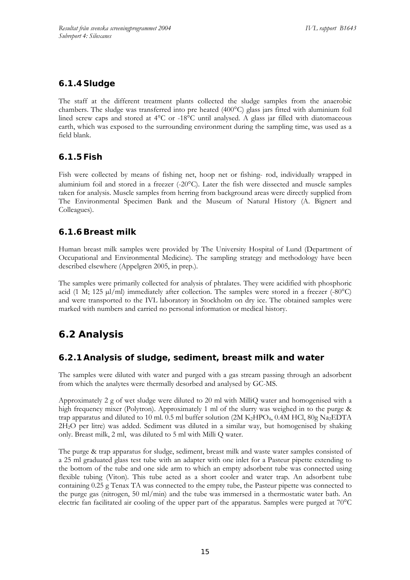#### **6.1.4 Sludge**

The staff at the different treatment plants collected the sludge samples from the anaerobic chambers. The sludge was transferred into pre heated (400°C) glass jars fitted with aluminium foil lined screw caps and stored at 4°C or -18°C until analysed. A glass jar filled with diatomaceous earth, which was exposed to the surrounding environment during the sampling time, was used as a field blank.

#### **6.1.5 Fish**

Fish were collected by means of fishing net, hoop net or fishing- rod, individually wrapped in aluminium foil and stored in a freezer (-20°C). Later the fish were dissected and muscle samples taken for analysis. Muscle samples from herring from background areas were directly supplied from The Environmental Specimen Bank and the Museum of Natural History (A. Bignert and Colleagues).

#### **6.1.6Breast milk**

Human breast milk samples were provided by The University Hospital of Lund (Department of Occupational and Environmental Medicine). The sampling strategy and methodology have been described elsewhere (Appelgren 2005, in prep.).

The samples were primarily collected for analysis of phtalates. They were acidified with phosphoric acid (1 M; 125  $\mu$ /ml) immediately after collection. The samples were stored in a freezer (-80 $^{\circ}$ C) and were transported to the IVL laboratory in Stockholm on dry ice. The obtained samples were marked with numbers and carried no personal information or medical history.

## **6.2 Analysis**

#### **6.2.1Analysis of sludge, sediment, breast milk and water**

The samples were diluted with water and purged with a gas stream passing through an adsorbent from which the analytes were thermally desorbed and analysed by GC-MS.

Approximately 2 g of wet sludge were diluted to 20 ml with MilliQ water and homogenised with a high frequency mixer (Polytron). Approximately 1 ml of the slurry was weighed in to the purge & trap apparatus and diluted to 10 ml. 0.5 ml buffer solution  $(2M K<sub>2</sub>HPO<sub>4</sub>, 0.4M HCl, 80g Na<sub>2</sub>EDTA)$ 2H2O per litre) was added. Sediment was diluted in a similar way, but homogenised by shaking only. Breast milk, 2 ml, was diluted to 5 ml with Milli Q water.

The purge & trap apparatus for sludge, sediment, breast milk and waste water samples consisted of a 25 ml graduated glass test tube with an adapter with one inlet for a Pasteur pipette extending to the bottom of the tube and one side arm to which an empty adsorbent tube was connected using flexible tubing (Viton). This tube acted as a short cooler and water trap. An adsorbent tube containing 0.25 g Tenax TA was connected to the empty tube, the Pasteur pipette was connected to the purge gas (nitrogen, 50 ml/min) and the tube was immersed in a thermostatic water bath. An electric fan facilitated air cooling of the upper part of the apparatus. Samples were purged at 70°C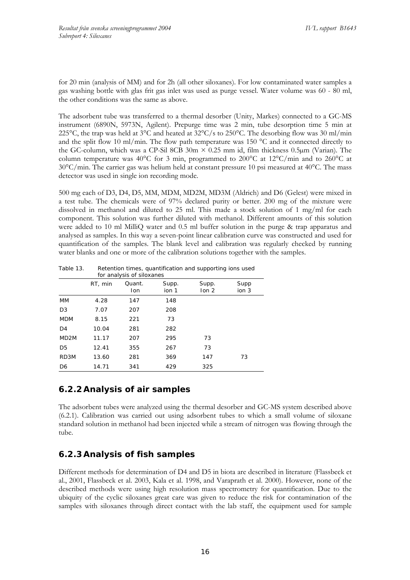for 20 min (analysis of MM) and for 2h (all other siloxanes). For low contaminated water samples a gas washing bottle with glas frit gas inlet was used as purge vessel. Water volume was 60 - 80 ml, the other conditions was the same as above.

The adsorbent tube was transferred to a thermal desorber (Unity, Markes) connected to a GC-MS instrument (6890N, 5973N, Agilent). Prepurge time was 2 min, tube desorption time 5 min at 225°C, the trap was held at  $3^{\circ}$ C and heated at  $32^{\circ}$ C/s to 250°C. The desorbing flow was 30 ml/min and the split flow 10 ml/min. The flow path temperature was 150 °C and it connected directly to the GC-column, which was a CP-Sil 8CB  $30m \times 0.25$  mm id, film thickness 0.5µm (Varian). The column temperature was 40°C for 3 min, programmed to 200°C at 12°C/min and to 260°C at  $30^{\circ}$ C/min. The carrier gas was helium held at constant pressure 10 psi measured at 40 $^{\circ}$ C. The mass detector was used in single ion recording mode.

500 mg each of D3, D4, D5, MM, MDM, MD2M, MD3M (Aldrich) and D6 (Gelest) were mixed in a test tube. The chemicals were of 97% declared purity or better. 200 mg of the mixture were dissolved in methanol and diluted to 25 ml. This made a stock solution of 1 mg/ml for each component. This solution was further diluted with methanol. Different amounts of this solution were added to 10 ml MilliQ water and 0.5 ml buffer solution in the purge & trap apparatus and analysed as samples. In this way a seven-point linear calibration curve was constructed and used for quantification of the samples. The blank level and calibration was regularly checked by running water blanks and one or more of the calibration solutions together with the samples.

|                   | RT, min | Quant.<br>Ion | Supp.<br>ion 1 | Supp.<br>Ion <sub>2</sub> | Supp<br>ion 3 |
|-------------------|---------|---------------|----------------|---------------------------|---------------|
| MМ                | 4.28    | 147           | 148            |                           |               |
| D <sub>3</sub>    | 7.07    | 207           | 208            |                           |               |
| <b>MDM</b>        | 8.15    | 221           | 73             |                           |               |
| D <sub>4</sub>    | 10.04   | 281           | 282            |                           |               |
| MD <sub>2</sub> M | 11.17   | 207           | 295            | 73                        |               |
| D <sub>5</sub>    | 12.41   | 355           | 267            | 73                        |               |
| RD3M              | 13.60   | 281           | 369            | 147                       | 73            |
| D6                | 14.71   | 341           | 429            | 325                       |               |

Table 13. Retention times, quantification and supporting ions used for analysis of siloxanes

### **6.2.2Analysis of air samples**

The adsorbent tubes were analyzed using the thermal desorber and GC-MS system described above (6.2.1). Calibration was carried out using adsorbent tubes to which a small volume of siloxane standard solution in methanol had been injected while a stream of nitrogen was flowing through the tube.

### **6.2.3Analysis of fish samples**

Different methods for determination of D4 and D5 in biota are described in literature (Flassbeck et al., 2001, Flassbeck et al. 2003, Kala et al. 1998, and Varaprath et al. 2000). However, none of the described methods were using high resolution mass spectrometry for quantification. Due to the ubiquity of the cyclic siloxanes great care was given to reduce the risk for contamination of the samples with siloxanes through direct contact with the lab staff, the equipment used for sample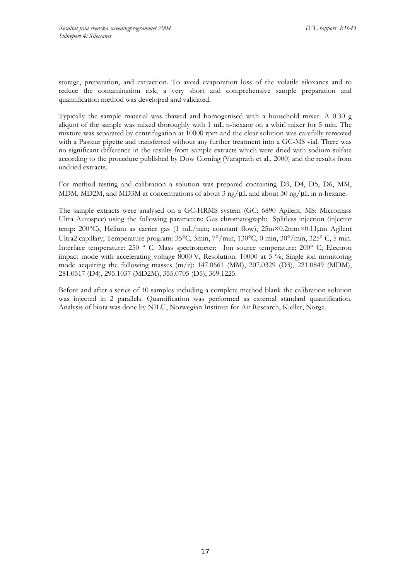storage, preparation, and extraction. To avoid evaporation loss of the volatile siloxanes and to reduce the contamination risk, a very short and comprehensive sample preparation and quantification method was developed and validated.

Typically the sample material was thawed and homogenised with a household mixer. A 0.30 g aliquot of the sample was mixed thoroughly with 1 mL n-hexane on a whirl mixer for 5 min. The mixture was separated by centrifugation at 10000 rpm and the clear solution was carefully removed with a Pasteur pipette and transferred without any further treatment into a GC-MS vial. There was no significant difference in the results from sample extracts which were dried with sodium sulfate according to the procedure published by Dow Corning (Varaprath et al., 2000) and the results from undried extracts.

For method testing and calibration a solution was prepared containing D3, D4, D5, D6, MM, MDM, MD2M, and MD3M at concentrations of about 3 ng/ $\mu$ L and about 30 ng/ $\mu$ L in n-hexane.

The sample extracts were analysed on a GC-HRMS system (GC: 6890 Agilent, MS: Micromass Ultra Autospec) using the following parameters: Gas chromatograph: Splitless injection (injector temp: 200°C), Helium as carrier gas (1 mL/min; constant flow), 25m×0.2mm×0.11µm Agilent Ultra2 capillary; Temperature program: 35°C, 3min, 7°/min, 130°C, 0 min, 30°/min, 325° C, 5 min. Interface temperature: 250 ° C. Mass spectrometer: Ion source temperature: 200° C; Electron impact mode with accelerating voltage 8000 V, Resolution: 10000 at 5 %; Single ion monitoring mode acquiring the following masses (m/z): 147.0661 (MM), 207.0329 (D3), 221.0849 (MDM), 281.0517 (D4), 295.1037 (MD2M), 355.0705 (D5), 369.1225.

Before and after a series of 10 samples including a complete method blank the calibration solution was injected in 2 parallels. Quantification was performed as external standard quantification. Analysis of biota was done by NILU, Norwegian Institute for Air Research, Kjeller, Norge.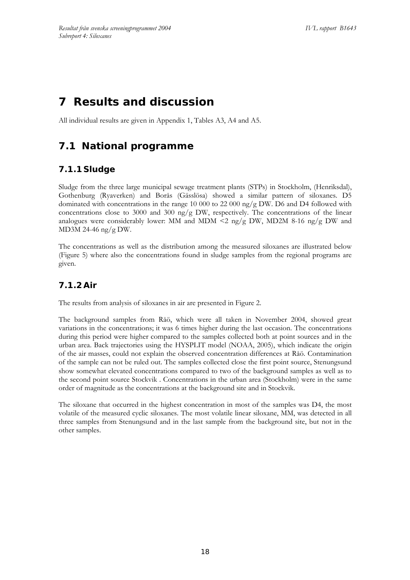# **7 Results and discussion**

All individual results are given in Appendix 1, Tables A3, A4 and A5.

## **7.1 National programme**

### **7.1.1 Sludge**

Sludge from the three large municipal sewage treatment plants (STPs) in Stockholm, (Henriksdal), Gothenburg (Ryaverken) and Borås (Gässlösa) showed a similar pattern of siloxanes. D5 dominated with concentrations in the range 10 000 to 22 000 ng/g DW. D6 and D4 followed with concentrations close to 3000 and 300 ng/g DW, respectively. The concentrations of the linear analogues were considerably lower: MM and MDM  $\leq$  ng/g DW, MD2M 8-16 ng/g DW and MD3M 24-46 ng/g DW.

The concentrations as well as the distribution among the measured siloxanes are illustrated below (Figure 5) where also the concentrations found in sludge samples from the regional programs are given.

### **7.1.2Air**

The results from analysis of siloxanes in air are presented in Figure 2.

The background samples from Råö, which were all taken in November 2004, showed great variations in the concentrations; it was 6 times higher during the last occasion. The concentrations during this period were higher compared to the samples collected both at point sources and in the urban area. Back trajectories using the HYSPLIT model (NOAA, 2005), which indicate the origin of the air masses, could not explain the observed concentration differences at Råö. Contamination of the sample can not be ruled out. The samples collected close the first point source, Stenungsund show somewhat elevated concentrations compared to two of the background samples as well as to the second point source Stockvik . Concentrations in the urban area (Stockholm) were in the same order of magnitude as the concentrations at the background site and in Stockvik.

The siloxane that occurred in the highest concentration in most of the samples was D4, the most volatile of the measured cyclic siloxanes. The most volatile linear siloxane, MM, was detected in all three samples from Stenungsund and in the last sample from the background site, but not in the other samples.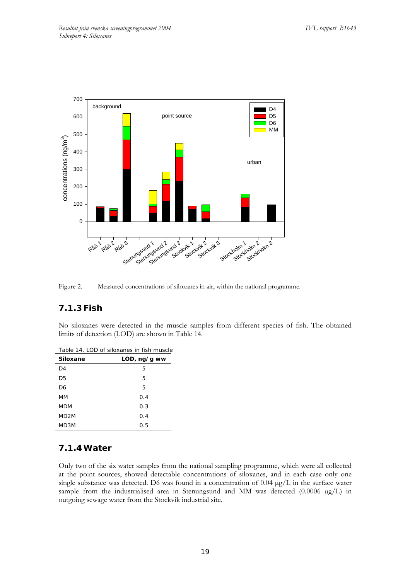

Figure 2. Measured concentrations of siloxanes in air, within the national programme.

### **7.1.3 Fish**

No siloxanes were detected in the muscle samples from different species of fish. The obtained limits of detection (LOD) are shown in Table 14.

| Siloxane          | LOD, ng/g ww |
|-------------------|--------------|
| D4                | 5            |
| D5                | 5            |
| D6                | 5            |
| MМ                | 0.4          |
| <b>MDM</b>        | 0.3          |
| MD <sub>2</sub> M | 0.4          |
| MD3M              | 0.5          |

Table 14. LOD of siloxanes in fish muscle

#### **7.1.4Water**

Only two of the six water samples from the national sampling programme, which were all collected at the point sources, showed detectable concentrations of siloxanes, and in each case only one single substance was detected. D6 was found in a concentration of  $0.04 \mu g/L$  in the surface water sample from the industrialised area in Stenungsund and MM was detected  $(0.0006 \mu g/L)$  in outgoing sewage water from the Stockvik industrial site.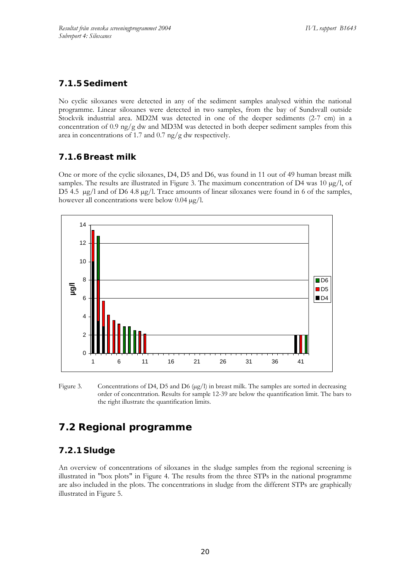#### **7.1.5 Sediment**

No cyclic siloxanes were detected in any of the sediment samples analysed within the national programme. Linear siloxanes were detected in two samples, from the bay of Sundsvall outside Stockvik industrial area. MD2M was detected in one of the deeper sediments (2-7 cm) in a concentration of 0.9 ng/g dw and MD3M was detected in both deeper sediment samples from this area in concentrations of 1.7 and 0.7 ng/g dw respectively.

### **7.1.6Breast milk**

One or more of the cyclic siloxanes, D4, D5 and D6, was found in 11 out of 49 human breast milk samples. The results are illustrated in Figure 3. The maximum concentration of D4 was 10  $\mu$ g/l, of D5 4.5 µg/l and of D6 4.8 µg/l. Trace amounts of linear siloxanes were found in 6 of the samples, however all concentrations were below 0.04 µg/l.



Figure 3. Concentrations of D4, D5 and D6  $(\mu g/I)$  in breast milk. The samples are sorted in decreasing order of concentration. Results for sample 12-39 are below the quantification limit. The bars to the right illustrate the quantification limits.

## **7.2 Regional programme**

#### **7.2.1 Sludge**

An overview of concentrations of siloxanes in the sludge samples from the regional screening is illustrated in "box plots" in Figure 4. The results from the three STPs in the national programme are also included in the plots. The concentrations in sludge from the different STPs are graphically illustrated in Figure 5.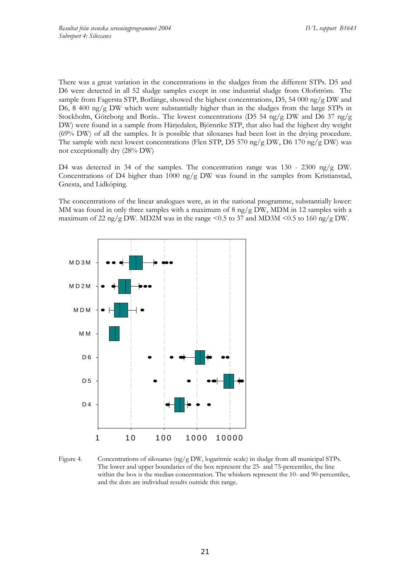There was a great variation in the concentrations in the sludges from the different STPs. D5 and D6 were detected in all 52 sludge samples except in one industrial sludge from Olofström. The sample from Fagersta STP, Borlänge, showed the highest concentrations, D5, 54 000 ng/g DW and D6, 8 400 ng/g DW which were substantially higher than in the sludges from the large STPs in Stockholm, Göteborg and Borås.. The lowest concentrations (D5 54 ng/g DW and D6 37 ng/g DW) were found in a sample from Härjedalen, Björnrike STP, that also had the highest dry weight (69% DW) of all the samples. It is possible that siloxanes had been lost in the drying procedure. The sample with next lowest concentrations (Flen STP, D5 570 ng/g DW, D6 170 ng/g DW) was not exceptionally dry (28% DW)

D4 was detected in 34 of the samples. The concentration range was 130 - 2300 ng/g DW. Concentrations of D4 higher than 1000 ng/g DW was found in the samples from Kristianstad, Gnesta, and Lidköping.

The concentrations of the linear analogues were, as in the national programme, substantially lower: MM was found in only three samples with a maximum of 8 ng/g DW, MDM in 12 samples with a maximum of 22 ng/g DW. MD2M was in the range  $\leq 0.5$  to 37 and MD3M  $\leq 0.5$  to 160 ng/g DW.



Figure 4. Concentrations of siloxanes (ng/g DW, logaritmic scale) in sludge from all municipal STPs. The lower and upper boundaries of the box represent the 25- and 75-percentiles, the line within the box is the median concentration. The whiskers represent the 10- and 90-percentiles, and the dots are individual results outside this range.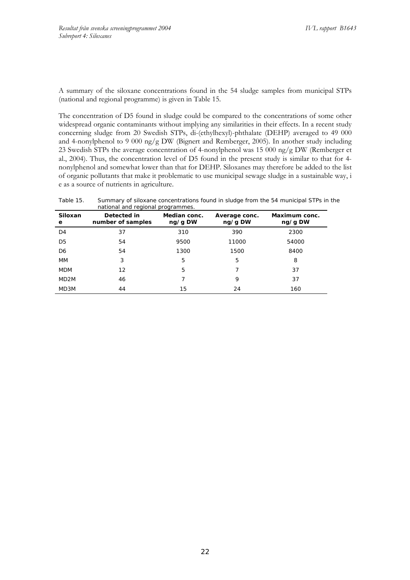A summary of the siloxane concentrations found in the 54 sludge samples from municipal STPs (national and regional programme) is given in Table 15.

The concentration of D5 found in sludge could be compared to the concentrations of some other widespread organic contaminants without implying any similarities in their effects. In a recent study concerning sludge from 20 Swedish STPs, di-(ethylhexyl)-phthalate (DEHP) averaged to 49 000 and 4-nonylphenol to 9 000 ng/g DW (Bignert and Remberger, 2005). In another study including 23 Swedish STPs the average concentration of 4-nonylphenol was 15 000 ng/g DW (Remberger et al., 2004). Thus, the concentration level of D5 found in the present study is similar to that for 4 nonylphenol and somewhat lower than that for DEHP. Siloxanes may therefore be added to the list of organic pollutants that make it problematic to use municipal sewage sludge in a sustainable way, i e as a source of nutrients in agriculture.

Table 15. Summary of siloxane concentrations found in sludge from the 54 municipal STPs in the national and regional programmes.

| <b>Siloxan</b><br>e | Detected in<br>number of samples | Median conc.<br>ng/g DW | Average conc.<br>ng/g DW | Maximum conc.<br>ng/g DW |
|---------------------|----------------------------------|-------------------------|--------------------------|--------------------------|
| D <sub>4</sub>      | 37                               | 310                     | 390                      | 2300                     |
| D <sub>5</sub>      | 54                               | 9500                    | 11000                    | 54000                    |
| D <sub>6</sub>      | 54                               | 1300                    | 1500                     | 8400                     |
| MМ                  | 3                                | 5                       | 5                        | 8                        |
| <b>MDM</b>          | 12                               | 5                       |                          | 37                       |
| MD <sub>2</sub> M   | 46                               |                         | 9                        | 37                       |
| MD3M                | 44                               | 15                      | 24                       | 160                      |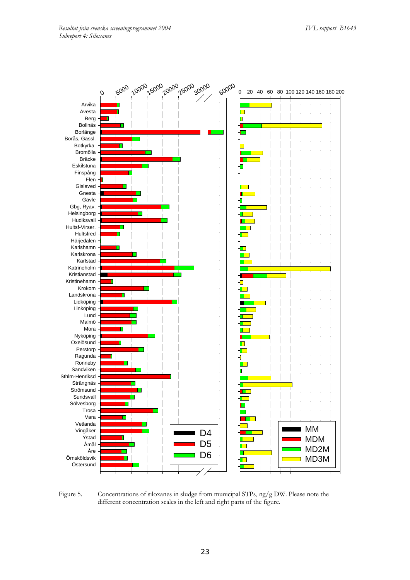

Figure 5. Concentrations of siloxanes in sludge from municipal STPs, ng/g DW. Please note the different concentration scales in the left and right parts of the figure.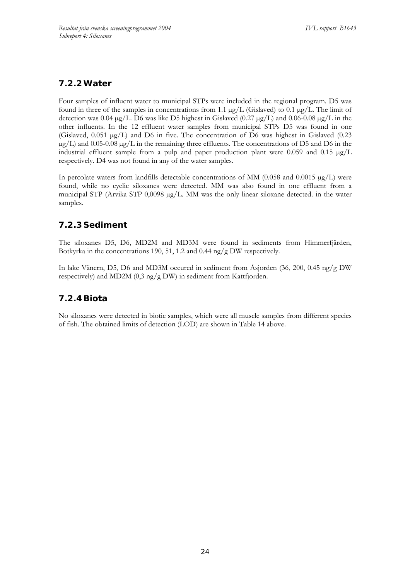#### **7.2.2Water**

Four samples of influent water to municipal STPs were included in the regional program. D5 was found in three of the samples in concentrations from 1.1  $\mu$ g/L (Gislaved) to 0.1  $\mu$ g/L. The limit of detection was 0.04  $\mu$ g/L. D6 was like D5 highest in Gislaved (0.27  $\mu$ g/L) and 0.06-0.08  $\mu$ g/L in the other influents. In the 12 effluent water samples from municipal STPs D5 was found in one (Gislaved,  $0.051 \mu g/L$ ) and D6 in five. The concentration of D6 was highest in Gislaved (0.23  $\mu$ g/L) and 0.05-0.08  $\mu$ g/L in the remaining three effluents. The concentrations of D5 and D6 in the industrial effluent sample from a pulp and paper production plant were 0.059 and 0.15  $\mu$ g/L respectively. D4 was not found in any of the water samples.

In percolate waters from landfills detectable concentrations of MM (0.058 and 0.0015  $\mu$ g/L) were found, while no cyclic siloxanes were detected. MM was also found in one effluent from a municipal STP (Arvika STP 0,0098 µg/L. MM was the only linear siloxane detected. in the water samples.

#### **7.2.3 Sediment**

The siloxanes D5, D6, MD2M and MD3M were found in sediments from Himmerfjärden, Botkyrka in the concentrations 190, 51, 1.2 and 0.44 ng/g DW respectively.

In lake Vänern, D5, D6 and MD3M occured in sediment from Åsjorden (36, 200, 0.45 ng/g DW respectively) and MD2M  $(0,3 \text{ ng/g DW})$  in sediment from Kattfjorden.

#### **7.2.4Biota**

No siloxanes were detected in biotic samples, which were all muscle samples from different species of fish. The obtained limits of detection (LOD) are shown in Table 14 above.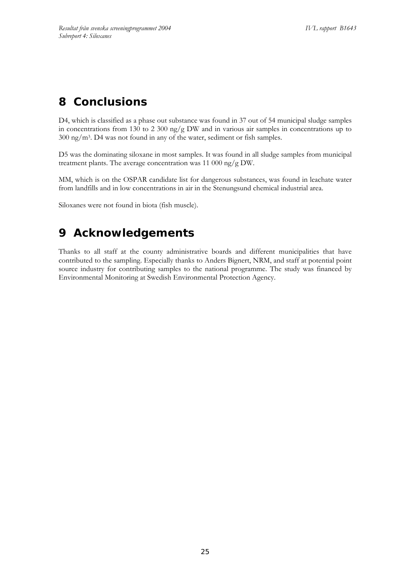# **8 Conclusions**

D4, which is classified as a phase out substance was found in 37 out of 54 municipal sludge samples in concentrations from 130 to 2 300 ng/g DW and in various air samples in concentrations up to 300 ng/m3. D4 was not found in any of the water, sediment or fish samples.

D5 was the dominating siloxane in most samples. It was found in all sludge samples from municipal treatment plants. The average concentration was 11 000 ng/g DW.

MM, which is on the OSPAR candidate list for dangerous substances, was found in leachate water from landfills and in low concentrations in air in the Stenungsund chemical industrial area.

Siloxanes were not found in biota (fish muscle).

# **9 Acknowledgements**

Thanks to all staff at the county administrative boards and different municipalities that have contributed to the sampling. Especially thanks to Anders Bignert, NRM, and staff at potential point source industry for contributing samples to the national programme. The study was financed by Environmental Monitoring at Swedish Environmental Protection Agency.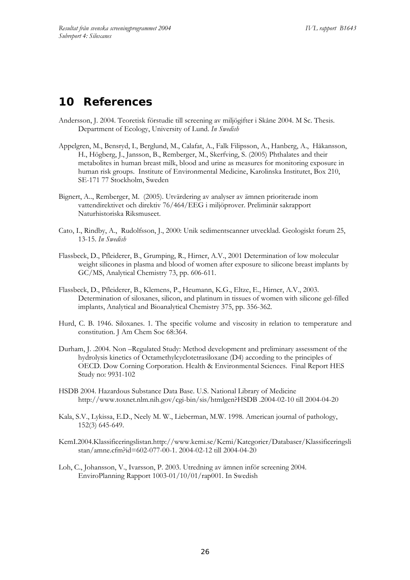## **10 References**

- Andersson, J. 2004. Teoretisk förstudie till screening av miljögifter i Skåne 2004. M Sc. Thesis. Department of Ecology, University of Lund. *In Swedish*
- Appelgren, M., Bensryd, I., Berglund, M., Calafat, A., Falk Filipsson, A., Hanberg, A., Håkansson, H., Högberg, J., Jansson, B., Remberger, M., Skerfving, S. (2005) Phthalates and their metabolites in human breast milk, blood and urine as measures for monitoring exposure in human risk groups.Institute of Environmental Medicine, Karolinska Institutet, Box 210, SE-171 77 Stockholm, Sweden
- Bignert, A.., Remberger, M.(2005). Utvärdering av analyser av ämnen prioriterade inom vattendirektivet och direktiv 76/464/EEG i miljöprover. Preliminär sakrapport Naturhistoriska Riksmuseet.
- Cato, I., Rindby, A., Rudolfsson, J., 2000: Unik sedimentscanner utvecklad. Geologiskt forum 25, 13-15. *In Swedish*
- Flassbeck, D., Pfleiderer, B., Grumping, R., Hirner, A.V., 2001 Determination of low molecular weight silicones in plasma and blood of women after exposure to silicone breast implants by GC/MS, Analytical Chemistry 73, pp. 606-611.
- Flassbeck, D., Pfleiderer, B., Klemens, P., Heumann, K.G., Eltze, E., Hirner, A.V., 2003. Determination of siloxanes, silicon, and platinum in tissues of women with silicone gel-filled implants, Analytical and Bioanalytical Chemistry 375, pp. 356-362.
- Hurd, C. B. 1946. Siloxanes. 1. The specific volume and viscosity in relation to temperature and constitution. J Am Chem Soc 68:364.
- Durham, J. .2004. Non –Regulated Study: Method development and preliminary assessment of the hydrolysis kinetics of Octamethylcyclotetrasiloxane (D4) according to the principles of OECD. Dow Corning Corporation. Health & Environmental Sciences. Final Report HES Study no: 9931-102
- HSDB 2004. Hazardous Substance Data Base. U.S. National Library of Medicine http://www.toxnet.nlm.nih.gov/cgi-bin/sis/htmlgen?HSDB .2004-02-10 till 2004-04-20
- Kala, S.V., Lykissa, E.D., Neely M. W., Lieberman, M.W. 1998. American journal of pathology, 152(3) 645-649.
- KemI.2004.Klassificeringslistan.http://www.kemi.se/Kemi/Kategorier/Databaser/Klassificeringsli stan/amne.cfm?id=602-077-00-1. 2004-02-12 till 2004-04-20
- Loh, C., Johansson, V., Ivarsson, P. 2003. Utredning av ämnen inför screening 2004. EnviroPlanning Rapport 1003-01/10/01/rap001. In Swedish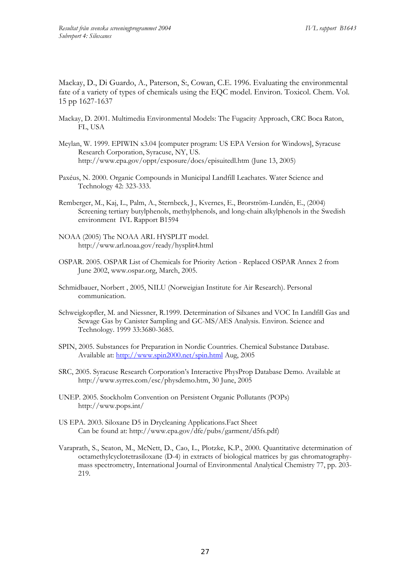Mackay, D., Di Guardo, A., Paterson, S:, Cowan, C.E. 1996. Evaluating the environmental fate of a variety of types of chemicals using the EQC model. Environ. Toxicol. Chem. Vol. 15 pp 1627-1637

- Mackay, D. 2001. Multimedia Environmental Models: The Fugacity Approach, CRC Boca Raton, FL, USA
- Meylan, W. 1999. EPIWIN x3.04 [computer program: US EPA Version for Windows], Syracuse Research Corporation, Syracuse, NY, US. http://www.epa.gov/oppt/exposure/docs/episuitedl.htm (June 13, 2005)
- Paxéus, N. 2000. Organic Compounds in Municipal Landfill Leachates. Water Science and Technology 42: 323-333.
- Remberger, M., Kaj, L., Palm, A., Sternbeck, J., Kvernes, E., Brorström-Lundén, E., (2004) Screening tertiary butylphenols, methylphenols, and long-chain alkylphenols in the Swedish environment IVL Rapport B1594
- NOAA (2005) The NOAA ARL HYSPLIT model. http://www.arl.noaa.gov/ready/hysplit4.html
- OSPAR. 2005. OSPAR List of Chemicals for Priority Action Replaced OSPAR Annex 2 from June 2002, www.ospar.org, March, 2005.
- Schmidbauer, Norbert , 2005, NILU (Norweigian Institute for Air Research). Personal communication.
- Schweigkopfler, M. and Niessner, R.1999. Determination of Silxanes and VOC In Landfill Gas and Sewage Gas by Canister Sampling and GC-MS/AES Analysis. Environ. Science and Technology. 1999 33:3680-3685.
- SPIN, 2005. Substances for Preparation in Nordic Countries. Chemical Substance Database. Available at: http://www.spin2000.net/spin.html Aug, 2005
- SRC, 2005. Syracuse Research Corporation's Interactive PhysProp Database Demo. Available at http://www.syrres.com/esc/physdemo.htm, 30 June, 2005
- UNEP. 2005. Stockholm Convention on Persistent Organic Pollutants (POPs) http://www.pops.int/
- US EPA. 2003. Siloxane D5 in Drycleaning Applications.Fact Sheet Can be found at: http://www.epa.gov/dfe/pubs/garment/d5fs.pdf)
- Varaprath, S., Seaton, M., McNett, D., Cao, L., Plotzke, K.P., 2000. Quantitative determination of octamethylcyclotetrasiloxane (D-4) in extracts of biological matrices by gas chromatographymass spectrometry, International Journal of Environmental Analytical Chemistry 77, pp. 203- 219.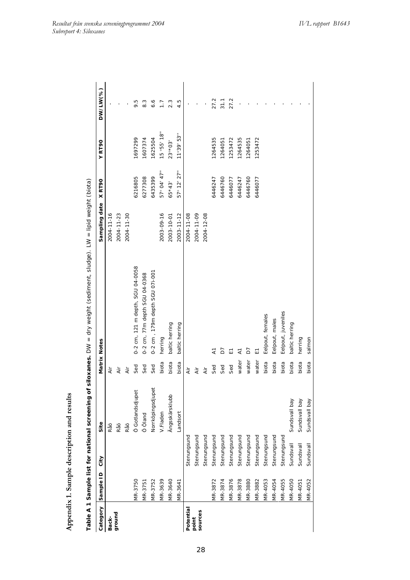| ì                  |
|--------------------|
| $\frac{1}{2}$<br>í |
| Í<br>i<br>¢        |
| ١                  |
|                    |

| Category         | Sample ID | City        | Site              |       | Matrix Notes                     | Sampling date    | XRT90                | <b>YRT90</b> | DW/LW(%)      |
|------------------|-----------|-------------|-------------------|-------|----------------------------------|------------------|----------------------|--------------|---------------|
| Back-            |           |             | Råö               | Air   |                                  | $2004 - 11 - 16$ |                      |              |               |
| ground           |           |             | Råö               | Äir   |                                  | $2004 - 11 - 23$ |                      |              |               |
|                  |           |             | Råö               | Air   |                                  | $2004 - 11 - 30$ |                      |              |               |
|                  | MR-3750   |             | Ö Gotlandsdjupet  | Sed   | 0-2 cm, 121 m depth, SGU 04-0058 |                  | 6216805              | 1697299      | 9.5           |
|                  | MR-3751   |             | Ö Öland           | Sed   | 0-2 cm, 77m depth SGU 04-0368    |                  | 6277308              | 1607374      | 8.3           |
|                  | MR-3752   |             | Norrköpingsdjupet | Sed   | 0-2 cm, 179m depth SGU 07i-001   |                  | 6435399              | 1625504      | 6.6           |
|                  | MR-3639   |             | V.Fladen          | biota | herring                          | 2003-09-16       | $57^{\circ}$ O4' 47" | 15 °55' 18"  | $\frac{7}{1}$ |
|                  | MR-3640   |             | Ängsskärsklubb    | biota | baltic herring                   | 2003-10-01       | $65*43'$             | $23°*03'$    | 2.3           |
|                  | MR-3641   |             | Landsort          | biota | baltic herring                   | $2003 - 11 - 12$ | 57° 12' 27"          | 11°39' 53"   | 4.5           |
| Potential        |           | Stenungsund |                   | Äir   |                                  | 2004-11-08       |                      |              |               |
| sources<br>point |           | Stenungsund |                   | Air   |                                  | 2004-11-09       |                      |              |               |
|                  |           | Stenungsund |                   | Air   |                                  | 2004-12-08       |                      |              |               |
|                  | MR-3872   | Stenungsund |                   | Sed   | $\overline{A}$                   |                  | 6446247              | 1264535      |               |
|                  | MR-3874   | Stenungsund |                   | Sed   | <b>P</b>                         |                  | 6446760              | 1264051      | 27.2<br>31.1  |
|                  | MR-3876   | Stenungsund |                   | Sed   | 冨                                |                  | 6446077              | 1253472      | 27.2          |
|                  | MR-3878   | Stenungsund |                   | water | $\overline{A}$                   |                  | 6446247              | 1264535      |               |
|                  | MR-3880   | Stenungsund |                   | water | <b>D7</b>                        |                  | 6446760              | 1264051      |               |
|                  | MR-3882   | Stenungsund |                   | water | $\overline{\mathbb{L}}$          |                  | 6446077              | 1253472      |               |
|                  | MR-4053   | Stenungsund |                   | biota | Eelpout, females                 |                  |                      |              |               |
|                  | MR-4054   | Stenungsund |                   | biota | Eelpout, males                   |                  |                      |              |               |
|                  | MR-4055   | Stenungsund |                   | biota | Eelpout, juveniles               |                  |                      |              |               |
|                  | MR-4050   | Sundsvall   | Sundsvall bay     | biota | baltic herring                   |                  |                      |              |               |
|                  | MR-4051   | Sundsvall   | Sundsvall bay     | biota | herring                          |                  |                      |              |               |
|                  | MR-4052   | Sundsvall   | Sundsvall bay     | biota | salmon                           |                  |                      |              |               |

Table A 1 Sample list for national screening of siloxanes. DW = dry weight (sediment, sludge). LW = lipid weight (biota) **Table A 1 Sample list for national screening of siloxanes.** DW = dry weight (sediment, sludge). LW = lipid weight (biota)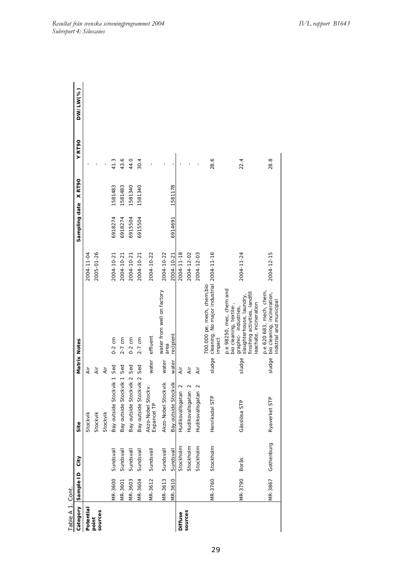| Table A 1. Cont. |           |              |                                       |        |                                                                                                                                                                     |                  |               |         |        |          |
|------------------|-----------|--------------|---------------------------------------|--------|---------------------------------------------------------------------------------------------------------------------------------------------------------------------|------------------|---------------|---------|--------|----------|
| Category         | Sample ID | City         | Site                                  |        | <b>Matrix Notes</b>                                                                                                                                                 |                  | Sampling date | XRT90   | Y RT90 | DW/LW(%) |
| Potential        |           |              | Stockvik                              | Air    |                                                                                                                                                                     | 2004-11-04       |               |         |        |          |
| sources<br>point |           |              | Stockvik                              | Air    |                                                                                                                                                                     | 2005-01-26       |               |         |        |          |
|                  |           |              | Stockvik                              | Air    |                                                                                                                                                                     |                  |               |         |        |          |
|                  | MR-3600   | Sundsvall    | Bay outside Stockvik 1 Sed            |        | $0-2$ cm                                                                                                                                                            | 2004-10-21       | 6918274       | 1581483 | 41.3   |          |
|                  | MR-3601   | Sundsvall    | Bay outside Stockvik 1                | Sed    | $2 - 7$ cm                                                                                                                                                          | 2004-10-21       | 6918274       | 581483  | 43.6   |          |
|                  | MR-3603   | Sundsvall    | Bay outside Stockvik 2                | Sed    | $0-2$ cm                                                                                                                                                            | 2004-10-21       | 6915504       | 581340  | 44.0   |          |
|                  | MR-3604   | Sundsvall    | Bay outside Stockvik 2                | Sed    | $2-7$ cm                                                                                                                                                            | 2004-10-21       | 6915504       | 1581340 | 30.4   |          |
|                  | MR-3612   | Sundsvall    | Akzo-Nobel Stockv.<br>Expancel TP     | water  | effluent                                                                                                                                                            | 2004-10-22       |               |         |        |          |
|                  | MR-3613   | Sundsvall    | Akzo-Nobel Stockvik                   | water  | water from well on factory<br>area                                                                                                                                  | 2004-10-22       |               |         |        |          |
|                  | MR-3610   | Sundsvall    | Bay outside Stockvik                  | water  | recipient                                                                                                                                                           | 2004-10-21       | 6914691       | 1581178 |        |          |
| Diffuse          |           | Stockholm    | $\sim$<br>Hudiksvallsgatan            | Air    |                                                                                                                                                                     | $2004 - 11 - 18$ |               |         |        |          |
| sources          |           | Stockholm    | $\sim$<br>Hudiksvallsgatan            | Air    |                                                                                                                                                                     | 2004-12-02       |               |         |        |          |
|                  |           | Stockholm    | $\mathbf{\Omega}$<br>Hudiksvallsgatan | Air    |                                                                                                                                                                     | 2004-12-03       |               |         |        |          |
|                  | MR-3760   | Stockholm    | Henriksdal ST                         | sludge | cleaning. No major industrial 2004-11-16<br>700.000 pe, mech, chem, bio<br>impact                                                                                   |                  |               |         | 28.6   |          |
|                  | MR-3790   | <b>Borás</b> | Gässlösa STP                          | sludge | p.e 98250, mec, chem and<br>finsihing activities, landfill<br>graphic- industries,<br>slaughterhouse, laundry,<br>leachate, incineration<br>bio cleaning, textile-, | $2004 - 11 - 24$ |               |         | 22.4   |          |
|                  | MR-3867   | Gothenburg   | Ryaverket STF                         | sludge | p.e 620 683, mech, chem,<br>bio cleaning, incineration,<br>indstrial and municipal                                                                                  | $2004 - 12 - 15$ |               |         | 28.8   |          |

V/LW(%)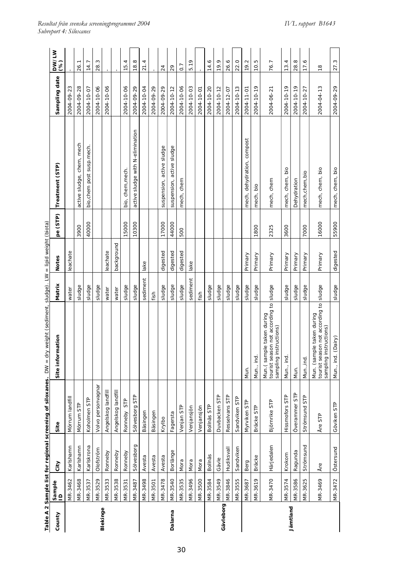|           |              |               |                    | Table A 2 Sample list for regional screening of siloxanes. DW = dry weight (sediment, sludge). LW = lipid weight (biota) |          |              |          |                                  |               |                        |
|-----------|--------------|---------------|--------------------|--------------------------------------------------------------------------------------------------------------------------|----------|--------------|----------|----------------------------------|---------------|------------------------|
| County    | Sample<br>ID | City          | Site               | mation<br>Site infor                                                                                                     | Matrix   | <b>Notes</b> | pe (STP) | Treatment (STP)                  | Sampling date | DW/LW<br>(%)           |
|           | MR-3462      | Karlshamn     | Mörrum landfill    |                                                                                                                          | water    | leachate     |          |                                  | 2004-09-23    |                        |
|           | MR-3468      | Karlshamn     | Mörrum STP         |                                                                                                                          | sludge   |              | 3900     | active sludge, chem, mech        | 2004-09-28    | 26.1                   |
|           | MR-3537      | Karlskrona    | Koholmen STP       |                                                                                                                          | sludge   |              | 40000    | bio, chem post susp. mech.       | 2004-10-07    | 14.7                   |
|           | MR-3529      | Olofström     | Volvo personvagnar |                                                                                                                          | sludge   |              |          |                                  | 2004-10-06    | S<br>28.               |
| Blekinge  | MR-3533      | Ronneby       | Angelskog landfill |                                                                                                                          | water    | leachate     |          |                                  | 2004-10-06    |                        |
|           | MR-3538      | Ronneby       | Angelskog landfill |                                                                                                                          | water    | background   |          |                                  |               |                        |
|           | MR-3531      | Ronneby       | Ronneby STP        |                                                                                                                          | sludge   |              | 15000    | bio, chem, mech.                 | 2004-10-06    | 4<br>15.               |
|           | MR-3487      | Sölvesborg    | STP<br>Sölvesborg  |                                                                                                                          | sludge   |              | 10300    | active sludge with N-elimination | 2004-09-29    | $\infty$<br>18.        |
|           | MR-3498      | Avesta        | Bäsingen           |                                                                                                                          | sediment | lake         |          |                                  | 2004-10-04    | 21.4                   |
|           | MR-3501      | Avesta        | Bäsingen           |                                                                                                                          | fish     |              |          |                                  | 2004-09-29    |                        |
|           | MR-3478      | Avesta        | krylbo             |                                                                                                                          | sludge   | digested     | 17000    | suspension, active sludge        | 2004-09-29    | 24                     |
| Dalarna   | MR-3540      | Borlänge      | Fagersta           |                                                                                                                          | sludge   | digested     | 44000    | suspension, active sludge        | 2004-10-12    | 29                     |
|           | MR-3535      | Mora          | Venjan STP         |                                                                                                                          | sludge   | digested     | 500      | mech, chem                       | 2004-10-06    | 0.7                    |
|           | MR-3496      | Mora          | Venjansjön         |                                                                                                                          | sediment | lake         |          |                                  | 2004-10-03    | 5.19                   |
|           | MR-3500      | Mora          | Venjansjön         |                                                                                                                          | fish     |              |          |                                  | 2004-10-01    |                        |
|           | MR-3584      | Bollnäs       | Bollnäs STP        |                                                                                                                          | sludge   |              |          |                                  | 2004-10-20    | 14.6                   |
|           | MR-3549      | Gävle         | Duvbacken STP      |                                                                                                                          | sludge   |              |          |                                  | 2004-10-12    | 19.9                   |
| Gävleborg | MR-3846      | Hudiksvall    | Resselvans STP     |                                                                                                                          | sludge   |              |          |                                  | 2004-12-07    | 26.6                   |
|           | MR-3555      | Sandviken     | Sandviken STP      |                                                                                                                          | sludge   |              |          |                                  | 2004-10-13    | 22.0                   |
|           | MR-3687      | Berg          | Myrviken STP       | Mun.                                                                                                                     | sludge   | Primary      |          | mech, dehydration, compost       | 2004-11-01    | 19.2                   |
|           | MR-3619      | <b>Bräcke</b> | Bräcke STP         | Mun., ind.                                                                                                               | sludge   | Primary      | 1800     | mech, bio                        | 2004-10-19    | Ю<br>$\overline{10}$ . |
|           | MR-3470      | Härjedalen    | Björnrike STP      | tourist season not according to<br>Mun. (sample taken during<br>sampling instructions)                                   | sludge   | Primary      | 2325     | mech, chem                       | 2004-06-21    | 76.7                   |
|           | MR-3574      | Krokom        | Hissmofors STP     | Mun., ind                                                                                                                | sludge   | Primary      | 3600     | mech, chem, bio                  | 2004-10-19    | 4<br>$\frac{3}{2}$     |
| Jämtland  | MR-3586      | Ragunda       | Överammer STP      | Mun.                                                                                                                     | sludge   | Primary      |          | Dehydration                      | 2004-10-19    | $\infty$<br>28.        |
|           | MR-3625      | Strömsund     | Strömsund STP      | Mun., ind.                                                                                                               | sludge   | Primary      | 7000     | mech, chem, bio                  | 2004-10-27    | 17.6                   |
|           | MR-3469      | Åre           | Åre STP            | Mun. (sample taken during<br>tourist season not according to sludge<br>sampling instructions)                            |          | Primary      | 16000    | mech, chem, bio                  | 2004-04-13    | $\frac{8}{1}$          |
|           | MR-3472      | Östersund     | Göviken STP        | (Dairy)<br>Mun., ind.                                                                                                    | sludge   | digested     | 55900    | mech, chem, bio                  | 2004-09-29    | 27.3                   |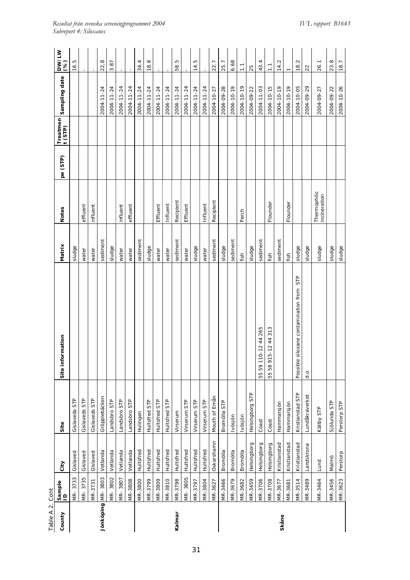| Table A 2. Cont |              |              |                  |                                                        |          |                              |          |                   |                  |                  |
|-----------------|--------------|--------------|------------------|--------------------------------------------------------|----------|------------------------------|----------|-------------------|------------------|------------------|
| County          | Sample<br>ID | City         | Site             | mation<br>Site infor                                   | Matrix   | <b>Notes</b>                 | pe (STP) | Treatmen<br>(STP) | Sampling date    | DW/LW<br>(%)     |
|                 | MR-3733      | Gislaved     | Gislaveds STP    |                                                        | sludge   |                              |          |                   |                  | 16.5             |
|                 | MR-3735      | Gislaved     | Gislaveds STP    |                                                        | water    | effluent                     |          |                   |                  |                  |
|                 | MR-3731      | Gislaved     | Gislaveds STP    |                                                        | water    | influent                     |          |                   |                  |                  |
| Jönköping       | MR-3803      | Vetlanda     | Gröpplebäcken    |                                                        | sediment |                              |          |                   | $2004 - 11 - 24$ | 22,8             |
|                 | MR-3802      | Vetlanda     | Landsbro STP     |                                                        | sludge   |                              |          |                   | 2004-11-24       | 3.87             |
|                 | MR-3807      | Vetlanda     | Landsbro STP     |                                                        | water    | influent                     |          |                   | 2004-11-24       |                  |
|                 | MR-3808      | Vetlanda     | Landsbro STP     |                                                        | water    | effluent                     |          |                   | 2004-11-24       |                  |
|                 | MR-3800      | Hultsfred    | Hulingen         |                                                        | sediment |                              |          |                   | 2004-11-24       | 34.4             |
|                 | MR-3799      | Hultsfred    | Hultsfred STP    |                                                        | sludge   |                              |          |                   | $2004 - 11 - 24$ | 18.8             |
|                 | MR-3809      | Hultsfred    | Hultsfred STP    |                                                        | water    | Effluent                     |          |                   | 2004-11-24       |                  |
|                 | MR-3810      | Hultsfred    | Hultsfred STP    |                                                        | water    | Influent                     |          |                   | 2004-11-24       |                  |
| Kalmar          | MR-3798      | Hultsfred    | Virserum         |                                                        | sediment | Recipient                    |          |                   | 2004-11-24       | Б<br>58.         |
|                 | MR-3805      | Hultsfred    | Virserum STP     |                                                        | water    | Effluent                     |          |                   | 2004-11-24       |                  |
|                 | MR-3797      | Hultsfred    | Virserum STP     |                                                        | sludge   |                              |          |                   | 2004-11-24       | 14.5             |
|                 | MR-3804      | Hultsfred    | Virserum STP     |                                                        | water    | Influent                     |          |                   | 2004-11-24       |                  |
|                 | MR-3627      | Oskarshamn   | Mouth of Emån    |                                                        | sediment | Recipient                    |          |                   | 2004-10-27       | 22.7             |
|                 | MR-3466      | Bromölla     | Bromölla STP     |                                                        | sludge   |                              |          |                   | 2004-09-28       | 25.7             |
|                 | MR-3679      | Bromölla     | Ivösjön          |                                                        | sediment |                              |          |                   | 2004-10-19       | 6.68             |
|                 | MR-3682      | Bromölla     | Ivösjön          |                                                        | fish     | Perch                        |          |                   | 2004-10-19       | $\overline{1}$ . |
|                 | MR-3459      | Helsingborg  | Helsingborg STP  |                                                        | sludge   |                              |          |                   | 2004-09-22       | 25               |
|                 | MR-3706      | Helsingborg  | Coast            | 55 59 110-12 44 265                                    | sediment |                              |          |                   | 2004-11-03       | 43.4             |
|                 | MR-3708      | Helsingborg  | Coast            | 915-12 44 313<br>58<br>55                              | fish     | Flounder                     |          |                   | 2004-10-15       | $\overline{1}$   |
| Skåne           | MR-3677      | Kristianstad | Hammarsjön       |                                                        | sediment |                              |          |                   | 2004-10-19       | 14.2             |
|                 | MR-3681      | Kristianstad | Hammarsjön       |                                                        | fish     | Flounder                     |          |                   | 2004-10-19       |                  |
|                 | MR-3514      | Kristianstad | Kristianstad STP | <b>STP</b><br>oxane contamination from<br>Possible sil | sludge   |                              |          |                   | 2004-10-05       | $\sim$<br>18.    |
|                 | MR-3489      | Landskrona   | Lundåkraverket   | $\frac{0}{d}$                                          | sludge   |                              |          |                   | 2004-09-29       | 22               |
|                 | MR-3464      | Lund         | Källby STP       |                                                        | sludge   | Thermophilic<br>incineration |          |                   | 2004-09-27       | 26.1             |
|                 | MR-3456      | Malmö        | Sjölunda STP     |                                                        | sludge   |                              |          |                   | 2004-09-22       | 23.8             |
|                 | MR-3623      | Perstorp     | Perstorp STP     |                                                        | sludge   |                              |          |                   | 2004-10-26       | 18.7             |

*Resultat från svenska screeningprogrammet 2004 IVL rapport B1643 Subreport 4: Siloxanes*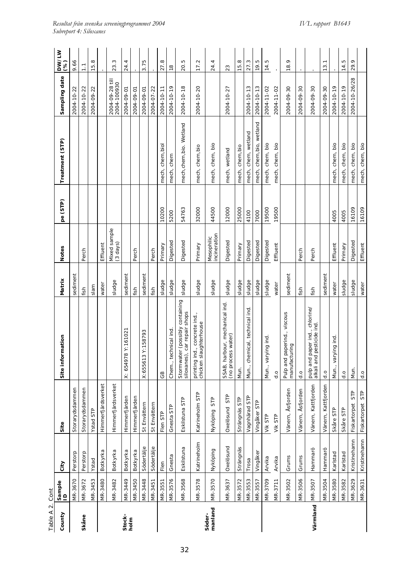| $\overline{\mathbf{C}}$<br>Table A | Cont         |              |                        |                                                                            |          |                                    |          |                          |                                |                          |
|------------------------------------|--------------|--------------|------------------------|----------------------------------------------------------------------------|----------|------------------------------------|----------|--------------------------|--------------------------------|--------------------------|
| County                             | Sample<br>ID | City         | Site                   | Site information                                                           | Matrix   | Notes                              | pe (STP) | Treatment (STP)          | Sampling date                  | DW/LW<br>$\mathcal{S}$   |
|                                    | MR-3670      | Perstorp     | Storarydsdammen        |                                                                            | sediment |                                    |          |                          | 2004-10-22                     | 9.66                     |
| Skåne                              | MR-3672      | Perstorp     | Storarydsdammen        |                                                                            | fish     | Perch                              |          |                          | 2004-10-22                     | $\overline{\phantom{0}}$ |
|                                    | MR-3453      | Ystad        | Ystad STP              |                                                                            | slam     |                                    |          |                          | 2004-09-22                     | ${}^{\circ}$<br>15.      |
|                                    | MR-3480      | Botkyrka     | Himmerfjärdsverket     |                                                                            | water    | Effluent                           |          |                          |                                |                          |
|                                    | MR-3482      | Botkyrka     | Himmerfjärdsverket     |                                                                            | sludge   | Mixed sample<br>$(3 \text{ days})$ |          |                          | 2004-09-28 till<br>2004-100930 | S<br>23.                 |
| Stock-<br>holm                     | MR-3449      | Botkyrka     | Himmerfjärden          | Y:161021<br>X: 654978                                                      | sediment |                                    |          |                          | 2004-09-01                     | 24.4                     |
|                                    | MR-3450      | Botkyrka     | Himmerfjärden          |                                                                            | fish     | Perch                              |          |                          | 2004-09-01                     |                          |
|                                    | MR-3448      | Södertälje   | St Envättern           | Y:158793<br>X:655613                                                       | sediment |                                    |          |                          | 2004-09-01                     | 3.75                     |
|                                    | MR-3451      | Södertälje   | St Envättern           |                                                                            | fish     | Perch                              |          |                          | 2004-07-22                     |                          |
|                                    | MR-3551      | Flen         | Flen STP               | GB                                                                         | sludge   | Primary                            | 10200    | mech, chem, biol         | 2004-10-11                     | 27.8                     |
|                                    | MR-3576      | Gnesta       | Gnesta STP             | Chem., technical ind                                                       | sludge   | Digested                           | 5200     | mech, chem               | 2004-10-19                     | $\frac{8}{2}$            |
|                                    | MR-3568      | Eskilstuna   | Eskilstuna STP         | Stormwater (possibly containing<br>siloxanes), car repair shops            | sludge   | Digested                           | 54763    | mech, chem, bio. Wetland | 2004-10-18                     | Ю<br>20.                 |
|                                    | MR-3578      | Katrineholm  | Katrineholm STP        | I., concrete ind.,<br>printing ind., concrete in<br>chicken slaughterhouse | sludge   | Primary                            | 32000    | mech, chem, bio          | 2004-10-20                     | 17.2                     |
| manland<br>Söder-                  | MR-3570      | Nyköping     | <b>STP</b><br>Nyköping |                                                                            | sludge   | Mesophilic<br>incineration         | 44500    | mech, chem, bio          |                                | 24.4                     |
|                                    | MR-3637      | Oxelösund    | Oxelösund STP          | SSAB, harbour, mechanical ind<br>(no process water)                        | sludge   | Digested                           | 12000    | mech, wetland            | 2004-10-27                     | 23                       |
|                                    | MR-3572      | Strängnäs    | Strängnäs STP          | Mun.                                                                       | sludge   | Primary                            | 25000    | mech, chem, bio          |                                | $^\infty$<br>15.         |
|                                    | MR-3553      | Trosa        | Vagnhärad STP          | Mun., chemical, technical ind                                              | sludge   | Digested                           | 4100     | mech, chem, wetland      | 2004-10-13                     | 27.3                     |
|                                    | MR-3557      | Vingåker     | Vingåker STP           |                                                                            | sludge   | Digested                           | 7000     | mech, chem, bio, wetland | 2004-10-13                     | 19.5                     |
|                                    | MR-3709      | Arvika       | VIK STP                | ing ind.<br>Mun., varyi                                                    | sludge   | Digested                           | 19500    | mech, chem, bio          | 2004-11-02                     | 14.5                     |
|                                    | MR-3711      | Arvika       | Vik STP                | $\frac{0}{d}$                                                              | water    | Effluent                           | 19500    | mech, chem, bio          | 2004-11-02                     |                          |
|                                    | MR-3502      | Grums        | Vänern, Åsfjorden      | Pulp and paperind., viscous<br>manufacturing                               | sediment |                                    |          |                          | 2004-09-30                     | o<br>$\frac{8}{18}$      |
|                                    | MR-3506      | Grums        | Vänern, Åsfjorden      | $\overline{d}$ .o                                                          | fish     | Perch                              |          |                          | 2004-09-30                     | $\mathbf{I}$             |
| Värmland                           | MR-3507      | Hammarö      | Vänern, Kattfjorden    | pulp and paper ind., chlorine/<br>alkali and pesticide ind.                | fish     | Perch                              |          |                          | 2004-09-30                     |                          |
|                                    | MR-3504      | Hammarö      | Vänem, Kattfjorden     | $\sigma$ .                                                                 | sediment |                                    |          |                          | 2004-09-30                     | 13.1                     |
|                                    | MR-3580      | Karlstad     | Skåre STP              | Mun., varying ind.                                                         | water    | Effluent                           | 4005     | mech, chem, bio          | 2004-10-19                     |                          |
|                                    | MR-3582      | Karlstad     | Skåre STP              | $\overline{d}$ .o                                                          | sludge   | Primary                            | 4005     | mech, chem, bio          | 2004-10-19                     | 14.5                     |
|                                    | MR-3629      | Kristinehamn | Fiskartorpet STP       | Mun.                                                                       | sludge   | Digested                           | 16109    | mech, chem, bio          | 2004-10-26/28                  | 29.9                     |
|                                    | MR-3631      | Kristinehamn | Fiskartorpet STP       | $\overline{d}$ .o                                                          | water    | Effluent                           | 16109    | mech, chem, bio          |                                |                          |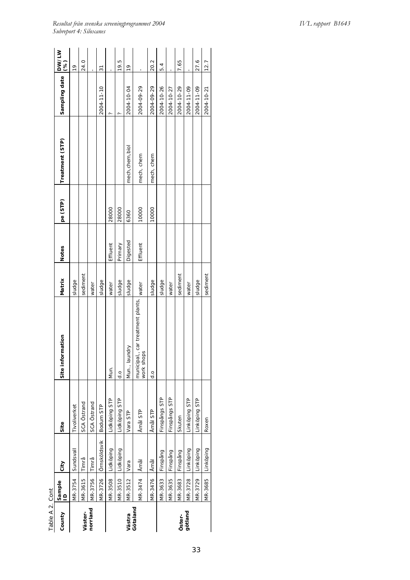| Table A 2. Cont |                          |              |               |                                                |          |              |          |                  |                  |               |
|-----------------|--------------------------|--------------|---------------|------------------------------------------------|----------|--------------|----------|------------------|------------------|---------------|
| County          | Sample<br>$\overline{a}$ | City         | Site          | Site information                               | Matrix   | <b>Notes</b> | pe (STP) | Treatment (STP)  | Sampling date    | DW/LW<br>(%)  |
|                 | MR-3754                  | Sundsvall    | Tivoliverket  |                                                | sludge   |              |          |                  |                  | $\frac{6}{1}$ |
| Väster-         | MR-3615                  | Timrå        | SCA Östrand   |                                                | sediment |              |          |                  |                  | 24.0          |
| norrland        | MR-3756                  | Timrå        | SCA Östrand   |                                                | water    |              |          |                  |                  | í,            |
|                 | MR-3726                  | Örnsköldsvik | Bodum STP     |                                                | sludge   |              |          |                  | $2004 - 11 - 10$ | 51            |
|                 | MR-3508                  | Lidköping    | Lidköping STP | Mun.                                           | water    | Effluent     | 28000    |                  | ᠭ                |               |
|                 | MR-3510                  | Lidköping    | -idköping STP | $\frac{0}{0}$                                  | sludge   | Primary      | 28000    |                  | ᠭ                | 19.5          |
| Västra          | MR-3512                  | Vara         | Vara STP      | Mun., laundry                                  | sludge   | Digested     | 6360     | mech, chem, biol | 2004-10-04       | $\frac{6}{1}$ |
| Götaland        | MR-3474 Amål             |              | Åmål STP      | municipal, car treatment plants,<br>work shops | water    | Effluent     | 10000    | mech, chem       | 2004-09-29       |               |
|                 | MR-3476                  | Åmål         | Åmål STP      | o.b                                            | sludge   |              | 10000    | mech, chem       | 2004-09-29       | 20.2          |
|                 | MR-3633                  | Finspång     | Finspångs STP |                                                | sludge   |              |          |                  | 2004-10-26       | 5.4           |
|                 | MR-3635                  | Finspång     | Finspångs STP |                                                | water    |              |          |                  | 2004-10-27       |               |
| Öster-          | MR-3683                  | Finspång     | Skuten        |                                                | sediment |              |          |                  | 2004-10-29       | 7.65          |
| götland         | MR-3728                  | Linköping    | Linköping STP |                                                | water    |              |          |                  | 2004-11-09       |               |
|                 | MR-3729                  | Linköping    | Linköping STP |                                                | sludge   |              |          |                  | 2004-11-09       | 27.6          |
|                 | MR-3685                  | Linköping    | Roxen         |                                                | sediment |              |          |                  | 2004-10-21       | 12.7          |
|                 |                          |              |               |                                                |          |              |          |                  |                  |               |

#### *Resultat från svenska screeningprogrammet 2004 IVL rapport B1643 Subreport 4: Siloxanes*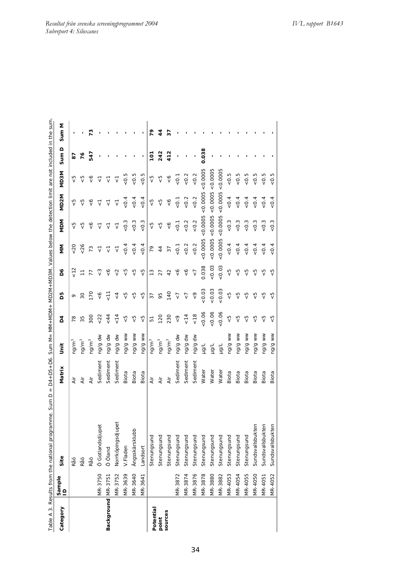|                    |              | $\mathsf{I}$<br>Sum D<br>Table A 3. Results from the national programme. | D4+D5+D6. Sum M= MM+MDM+MD2M+MD3M. Values below the detection limit are not included in the sum |                   |                      |                       |                       |                 |               |                       |                            |                |                |
|--------------------|--------------|--------------------------------------------------------------------------|-------------------------------------------------------------------------------------------------|-------------------|----------------------|-----------------------|-----------------------|-----------------|---------------|-----------------------|----------------------------|----------------|----------------|
| Category           | Sample<br>ID | Site                                                                     | Matrix                                                                                          | Ï                 | 24                   | 50                    | ρę                    | Š               | <b>MDM</b>    | <b>MD2M</b>           | MD3M                       | ≏<br>Sum       | Σ<br>Sum       |
|                    |              | Råö                                                                      | Air                                                                                             | ng/m <sup>3</sup> | 78                   | o                     | $\frac{2}{3}$         | 00 <sup>2</sup> | م<br>V        | $\frac{5}{5}$         | Ю                          | 87             |                |
|                    |              | Råö                                                                      | Air                                                                                             | ng/m <sup>3</sup> | 35                   | 30                    | $\overline{a}$        | < 26            | 45            | 5 >                   | م<br>⊽                     | 76             |                |
|                    |              | Råö                                                                      | Air                                                                                             | ng/m <sup>3</sup> | 300                  | 170                   | 77                    | 73              | $\sim$        | $\frac{6}{5}$         | $\frac{6}{5}$              | 547            | 73             |
|                    | MR-3750      | Ö Gotlandsdjupet                                                         | Sediment                                                                                        | ng/g dw           | 22                   | $\frac{6}{5}$         | $\sqrt{3}$            | 2               | 2             | $\overline{\sqrt{2}}$ | 7                          |                |                |
| Background MR-3751 |              | Ö Öland                                                                  | Sediment                                                                                        | mg/g dw           | < 44                 | $\frac{1}{2}$         | $\frac{6}{5}$         | $\sqrt{2}$      | 7             | $\sqrt{2}$            | 2                          |                |                |
|                    | MR-3752      | Norrköpingsdjupet                                                        | Sediment                                                                                        | mg/g dw           | $\frac{4}{5}$        | $\frac{4}{5}$         | $\frac{2}{\sqrt{2}}$  | 2               | 7             | $\overline{\sqrt{2}}$ | 7                          |                |                |
|                    | MR-3639      | V.Fladen                                                                 | Biota                                                                                           | ww 6/6u           | 45                   | 5 ک                   | 45                    | 50.4            | 0.3           | 0.4                   | 0.5                        |                |                |
|                    | MR-3640      | Ängsskärsklubb                                                           | Biota                                                                                           | ww 6/6u           | 5>                   | 5 >                   | م<br>V                | 0.4             | 0.3           | 0.4                   | 0.5                        |                |                |
|                    | MR-3641      | Landsort                                                                 | Biota                                                                                           | ww 6/6u           | $\frac{5}{5}$        | $\frac{5}{5}$         | сD<br>У               | 0.4             | 0.3           | 0.4                   | 0.5                        | $\blacksquare$ | $\blacksquare$ |
| Potential          |              | Stenungsund                                                              | Äir                                                                                             | ng/m <sup>3</sup> | 57                   | 37                    | $\frac{3}{2}$         | 79              | $\frac{5}{2}$ | $\frac{5}{2}$         | 47                         | š              | 79             |
| point              |              | Stenungsund                                                              | Air                                                                                             | ng/m <sup>3</sup> | 120                  | 95                    | 27                    | $\ddot{4}$      | 45            | 45                    | 45                         | 242            | 44             |
| sources            |              | Stenungsund                                                              | Air                                                                                             | ng/m <sup>3</sup> | 230                  | 140                   | 42                    | 57              | $\sim$        | $\sim 6$              | $\frac{6}{5}$              | 412            | 57             |
|                    | MR-3872      | Stenungsund                                                              | Sediment                                                                                        | ng/g dw           | $\frac{6}{\sqrt{2}}$ | $\overline{\sqrt{2}}$ | $\frac{6}{5}$         | 50.1            | $-0.1$        | $10 - 1$              | $10 - 1$                   | $\blacksquare$ |                |
|                    | MR-3874      | Stenungsund                                                              | Sediment                                                                                        | wp 6/6u           | $\frac{4}{5}$        | $\overline{\sqrt{2}}$ | $\frac{6}{5}$         | 0.2             | 0.2           | 0.2                   | 0.2                        |                |                |
|                    | MR-3876      | Stenungsund                                                              | Sediment                                                                                        | ng/g dw           | $\frac{8}{18}$       | $\frac{6}{1}$         | $\overline{\sqrt{2}}$ | 0.2             | 0.2           | 0.2                   | 0.2                        |                |                |
|                    | MR-3878      | Stenungsund                                                              | Water                                                                                           | 1/Brl             | 0.06                 | 0.03                  | 0.038                 | 0.0005          | &0.0005       | 0.0005                | &0.0005                    | 0.038          |                |
|                    | MR-3880      | Stenungsund                                                              | Water                                                                                           | T/6rl             | &0.06                | &0.03                 | &0.03                 | 0.0005          | &0.0005       | &0.0005               | &0.0005                    |                |                |
|                    | MR-3882      | Stenungsund                                                              | Water                                                                                           | Trān              | &0.06                | &0.03                 | &0.03                 | 0.0005          | &0.0005       | &0.0005               | 0.0005                     |                |                |
|                    | MR-4053      | Stenungsund                                                              | Biota                                                                                           | ww 6/6u           | $\frac{5}{2}$        | $\frac{5}{5}$         | $\frac{5}{5}$         | 0.4             | 0.3           | 0.4                   | 0.5                        |                |                |
|                    | MR-4054      | Stenungsund                                                              | Biota                                                                                           | ww 6/6u           | 45                   | Ю                     | 47                    | 0.4             | 0.3           | 0.4                   | 0.5                        |                |                |
|                    | MR-4055      | Stenungsund                                                              | Biota                                                                                           | ww 6/6u           | 5>                   | Ю<br>٧                | 5 >                   | 0.4             | 0.3           | 0.4                   | 0.5                        |                |                |
|                    | MR-4050      | Sundsvallsbukter                                                         | Biota                                                                                           | ww 6/6u           | $\frac{5}{2}$        | Ю<br>٧                | с<br>У                | 0.4             | 0.3           | 0.4                   | 0.5                        |                |                |
|                    | MR-4051      | Sundsvallsbukter                                                         | Biota                                                                                           | ww 6/6u           | $\frac{5}{5}$        | ഥ                     | ى<br>⊽                | 0.4             | 0.3           | 0.4                   | LO<br>$\frac{0}{\sqrt{2}}$ |                |                |
|                    | MR-4052      | Sundsvallsbukter                                                         | Biota                                                                                           | ww b/bu           | $\frac{5}{5}$        | $\frac{5}{5}$         | сD<br>У               | 0.4             | &0.3          | 0.4                   | Ю<br>$\frac{1}{\sqrt{2}}$  |                |                |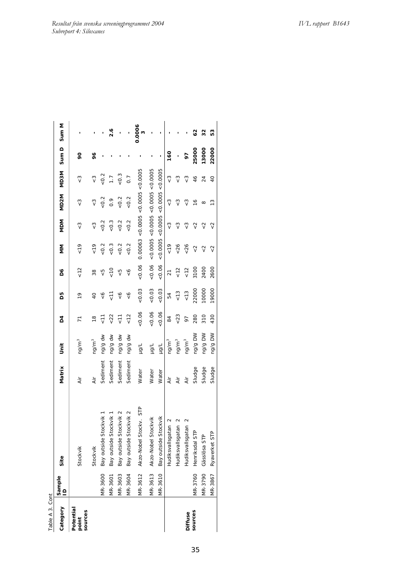| Table A 3. Cont               |                          |                                        |          |                   |                      |                      |                |                                     |                      |                  |                  |       |               |
|-------------------------------|--------------------------|----------------------------------------|----------|-------------------|----------------------|----------------------|----------------|-------------------------------------|----------------------|------------------|------------------|-------|---------------|
| Category                      | Sample<br>$\overline{a}$ | Site                                   | Matrix   | İ                 | 24                   | 50                   | δ              | Š                                   | <b>MDM</b>           | MD2M             | MD3M             | Sum D | Sum M         |
| Potential<br>sources<br>point |                          | Stockvik                               | Äir      | ng/m <sup>3</sup> | $\overline{1}$       | $\frac{6}{1}$        | 12             | 50 <sup>2</sup>                     | 22                   | $\frac{3}{5}$    | $\sqrt{3}$       | 06    |               |
|                               |                          | Stockvik                               | Äir      | ng/m <sup>3</sup> | $\frac{8}{1}$        | $\overline{40}$      | 38             | $rac{6}{5}$                         | $\sqrt{3}$           | $\frac{3}{5}$    | $\frac{3}{2}$    | 96    |               |
|                               | MR-3600                  | Bay outside Stockvik                   | Sediment | ng/g dw           | $\frac{1}{2}$        | $\frac{6}{5}$        | 45             | 0.2                                 | 0.2                  | 0.2              | 0.2              |       |               |
|                               | MR-3601                  | Bay outside Stockvik 1                 | Sediment | ng/g dw           | 22                   | $\frac{1}{\sqrt{2}}$ | $\frac{0}{x}$  | 0.3                                 | 0.3                  | $\overline{0}$ . | $\overline{1}$ . |       | $\frac{6}{2}$ |
|                               | MR-3603                  | Bay outside Stockvik 2                 | Sediment | ng/g dw           | $\frac{1}{\sqrt{2}}$ | $\frac{6}{5}$        | 45             | 0.2                                 | 0.2                  | 0.2              | 0.3              |       |               |
|                               | MR-3604                  | Bay outside Stockvik 2                 | Sediment | mg/g dw           | $\frac{2}{3}$        | $\frac{6}{5}$        | $\frac{6}{5}$  | 0.2                                 | 0.2                  | 0.2              | $\overline{0}$ . |       |               |
|                               | MR-3612                  | Akzo-Nobel Stocky. STP                 | Water    | 1/Brl             | &0.06                | &0.03                | 0.06           | 0.00063 < 0.0005 < 0.0005           |                      |                  | 0.0005           |       | 0.0006<br>m   |
|                               |                          | MR-3613 Akzo-Nobel Stockvik            | Water    | T/6rl             | 0.06                 | &0.03                | 0.06           | < 0.0005 < 0.0005 < 0.0005 < 0.0005 |                      |                  |                  |       |               |
|                               | MR-3610                  | Bay outside Stockvik                   | Water    | T/6rl             | &0.06                | &0.03                | &0.06          | < 0.0005 < 0.0005 < 0.0005          |                      |                  | 0.0005           | ı     |               |
|                               |                          | $\sim$<br>Hudiksvallsgatan             | Äir      | ng/m <sup>3</sup> | 84                   | 54                   | $\overline{2}$ | $rac{9}{6}$                         | $\frac{3}{5}$        | $\frac{3}{5}$    | δ                | 160   |               |
|                               |                          | $\scriptstyle\sim$<br>Hudiksvallsgatan | Air      | ng/m <sup>3</sup> | $<23$                | $\frac{2}{3}$        | $\frac{2}{3}$  | < 26                                | ೆ                    | δ,               | ೆ                |       |               |
| Diffuse                       |                          | Hudiksvallsgatan                       | Äir      | ng/m <sup>3</sup> | 5                    | $< 13$               | $\frac{2}{3}$  | < 26                                | ి                    | ვ<br>ა           | $\frac{3}{5}$    | 66    |               |
| sources                       | MR-3760                  | Henriksdal STP                         | Sludge   | mg/g DW           | 280                  | 22000                | 3100           | $\frac{2}{\sqrt{2}}$                | $\frac{2}{\sqrt{2}}$ | $\frac{6}{1}$    | 46               | 25000 | 3             |
|                               | MR-3790                  | Gässlösa STP                           | Sludge   | NG 6/6u           | 310                  | 10000                | 2400           | $\frac{2}{\sqrt{2}}$                | $\frac{2}{\sqrt{2}}$ | $\infty$         | $\overline{24}$  | 13000 | 32            |
|                               | MR-3867                  | Ryaverket STP                          | Sludge   | mg/g DW           | 430                  | 19000                | 2600           | $\frac{2}{\sqrt{2}}$                | $\frac{2}{\sqrt{2}}$ | ≌                | $\overline{Q}$   | 22000 | 53            |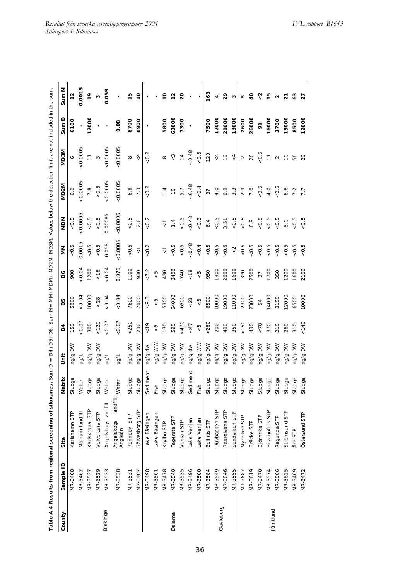|  | Ù<br>ì<br>i<br>١<br>ç<br>¢<br>í | nes. Sum I<br>loxa  | $\frac{1}{2}$<br>$\frac{1}{2}$<br>ローロ | $\ddot{\phantom{a}}$<br>$\overline{\phantom{a}}$ |    | $\frac{1}{2}$ |   |     | i<br>C | an limit art |       | ì<br>C |
|--|---------------------------------|---------------------|---------------------------------------|--------------------------------------------------|----|---------------|---|-----|--------|--------------|-------|--------|
|  | Site                            | ر:<br>;<br>$\vdots$ | Jnit<br>5                             | 24                                               | 50 | δő            | Š | MDM | MD2M   | MD3M         | Sum D | Sur    |

|           | Table A 4 Results from regional screening of siloxanes. Sum D = D4+D5+D6. Sum M= MM+MDM+MD2M-WD2M. Values below the detection limit are not included in the sum. |                                          |          |          |               |               |                |                      |                   |                  |                          |                          |                   |
|-----------|------------------------------------------------------------------------------------------------------------------------------------------------------------------|------------------------------------------|----------|----------|---------------|---------------|----------------|----------------------|-------------------|------------------|--------------------------|--------------------------|-------------------|
| County    | Sample ID                                                                                                                                                        | Site                                     | Matrix   | İ        | 24            | 50            | δq             | Š                    | <b>MDM</b>        | MD2M             | MD3M                     | Sum D                    | Sum M             |
|           | MR-3468                                                                                                                                                          | Karlshamn STP                            | Sludge   | Ma 6/6u  | 150           | 5000          | 900            | 0.5                  | 0.5               | 6.0              | ∘                        | 6100                     | $\frac{2}{3}$     |
|           | MR-3462                                                                                                                                                          | Mörrum landfill                          | Water    | T/6rl    | 0.07          | 0.04          | & 0.04         | 0.0015               | 0.0005            | 0.0005           | 0.0005                   |                          | 0.0015            |
|           | MR-3537                                                                                                                                                          | Karlskrona STP                           | Sludge   | Ma 6/6u  | 300           | 0000          | 1200           | 0.5                  | $-0.5$            | 7.8              | $\overline{1}$           | 12000                    | 19                |
|           | MR-3529                                                                                                                                                          | Volvo cars STP                           | Sludge   | Ma 6/6L  | < 120         | $<28$         | 16             | 500                  | 0.5               | 0.5              | $\infty$                 | $\blacksquare$           | S                 |
| Blekinge  | MR-3533                                                                                                                                                          | Angelskogs landfill                      | Water    | T/brl    | 0.07          | 0.04          | &0.04          | 0.058                | 0.00085           | 0.0005           | 0.0005                   |                          | 0.059             |
|           | MR-3538                                                                                                                                                          | landfill, Water<br>Angelskogs<br>Angleán |          | T/6rl    | 0.07          | 0.04          | 0.076          | 0.0005               | 0.0005            | &0.0005          | 0.0005                   | 0.08                     | ı.                |
|           | MR-3531                                                                                                                                                          | Ronneby STP                              | Sludge   | mg/g DW  | < 250         | 7600          | 1100           | 0.5                  | 0.5               | 6.8              | $\infty$                 | 8700                     | $\frac{10}{1}$    |
|           | MR-3487                                                                                                                                                          | Sölvesborg STP                           | Sludge   | mg/g DW  | 230           | 7800          | 930            | $\overline{\vee}$    | 2.8               | 7.3              | $\overline{4}$           | 8900                     | $\frac{0}{1}$     |
|           | MR-3498                                                                                                                                                          | Lake Bäsingen                            | Sediment | ng/g dw  | $rac{1}{2}$   | 5.6           | 2 < 7.2        | 0.2                  | 0.2               | 0.2              | 0.2                      |                          |                   |
|           | MR-3501                                                                                                                                                          | Lake Bäsingen                            | Fish     | ww p/pn  | $\frac{5}{5}$ | $\frac{5}{2}$ | $\frac{5}{2}$  |                      |                   |                  |                          |                          |                   |
|           | MR-3478                                                                                                                                                          | Krylbo STP                               | Sludge   | NG 6/6u  | 130           | 5300          | 430            | $\sqrt{2}$           | $\overline{\vee}$ | 1.4              | ${}^{\circ}$             | 5800                     | $\frac{1}{2}$     |
| Dalarna   | MR-3540                                                                                                                                                          | Fagersta STP                             | Sludge   | Ma 6/6u  | 590           | 54000         | 8400           | $50 - 5$             | 1.4               | $\overline{0}$   | $\sqrt{3}$               | 63000                    | $\frac{2}{3}$     |
|           | MR-3535                                                                                                                                                          | Venjan STP                               | Sludge   | Ma 6/6u  | < 470         | 6500          | 740            | 5.00                 | 5.00              | 5.7              | $\overline{1}$           | 7300                     | 20                |
|           | MR-3496                                                                                                                                                          | Lake Venjan                              | Sediment | ng/g dw  | 547           | $< 23$        | $\frac{8}{18}$ | 0.48                 | &0.48             | & 0.48           | 0.48                     | ı                        | ı                 |
|           | MR-3500                                                                                                                                                          | Lake Venjan                              | Fish     | ww p/pn  | $\frac{5}{5}$ | $\frac{5}{2}$ | $\frac{5}{5}$  | 0.4                  | &0.3              | 0.4              | 50.5                     |                          | ٠                 |
|           | MR-3584                                                                                                                                                          | Bollnäs STP                              | Sludge   | NG 6/6u  | < 280         | 6500          | 950            | 0.5                  | 6.4               | $\overline{37}$  | 120                      | 7500                     | 163               |
|           | MR-3549                                                                                                                                                          | Duvbacken STP                            | Sludge   | ng/g DW  | 200           | 10000         | 1300           | 0.5                  | 0.5               | 4.0              | $\overset{4}{\triangle}$ | 12000                    | 4                 |
| Gävleborg | MR-3846                                                                                                                                                          | Resselvans STP                           | Sludge   | wa 6/6u  | 490           | 19000         | 2000           | 0.5                  | 3.51              | 6.9              | $\overline{0}$           | 21000                    | 29                |
|           | MR-3555                                                                                                                                                          | Sandviken STP                            | Sludge   | ng/g DW  | 350           | 11000         | 1600           | $\frac{2}{\sqrt{2}}$ | 0.5               | $3.\overline{3}$ | $\overline{4}$           | 13000                    | S                 |
|           | MR-3687                                                                                                                                                          | Myrviken STP                             | Sludge   | NG 6/6u  | 150           | 2300          | 320            | 0.5                  | 0.5               | 2.9              | $\sim$                   | 2600                     | ю                 |
|           | MR-3619                                                                                                                                                          | Bräcke STP                               | Sludge   | Ma 6/6u  | 430           | 23000         | 2500           | 0.5                  | 6.9               | 7.0              | 26                       | 26000                    | $\frac{1}{2}$     |
|           | MR-3470                                                                                                                                                          | Björnrike STP                            | Sludge   | Ma 6/6u  | $< 78$        | 54            | 37             | 0.5                  | 0.5               | 500              | $50 - 5$                 | $\overline{\phantom{0}}$ | $\frac{2}{3}$     |
| Jämtland  | MR-3574                                                                                                                                                          | Hissmofors STP                           | Sludge   | Ma 6/6u  | 370           | 14000         | 1700           | 0.5                  | 0.5               | 4.0              | $\overline{a}$           | 16000                    | $\frac{1}{2}$     |
|           | MR-3586                                                                                                                                                          | Ragunda STP                              | Sludge   | Ma 6/6u  | 210           | 3100          | 350            | 0.5                  | 0.5               | 0.5              | $\sim$                   | 3700                     | $\mathbf{\Omega}$ |
|           | MR-3625                                                                                                                                                          | Strömsund STP                            | Sludge   | NAD 6/6u | 260           | 12000         | 1200           | 0.5                  | 5.0               | 6.6              | $\overline{C}$           | 13000                    | $\overline{2}$    |
|           | MR-3469                                                                                                                                                          | Åre STP                                  | Sludge   | Ma 6/6u  | 310           | 6500          | 1600           | 5.00                 | 0.5               | 7.2              | 56                       | 8500                     | $\mathbf{63}$     |
|           | MR-3472                                                                                                                                                          | Östersund STP                            | Sludge   | ng/g DW  | 140           | 10000         | 2100           | 0.5                  | 0.5               | 7.7              | $\overline{c}$           | 12000                    | 27                |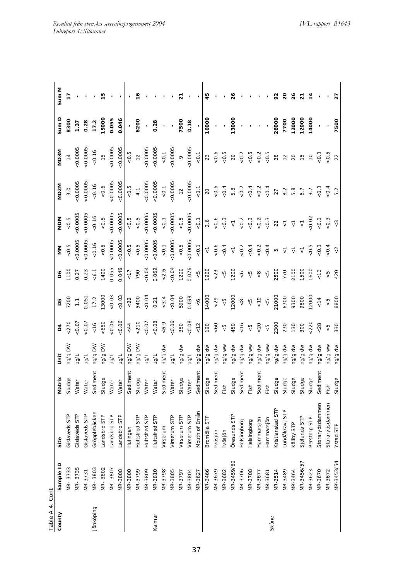| Table A 4. Cont |            |                  |          |         |               |                          |               |                                                           |                                         |               |                 |                |                |
|-----------------|------------|------------------|----------|---------|---------------|--------------------------|---------------|-----------------------------------------------------------|-----------------------------------------|---------------|-----------------|----------------|----------------|
| County          | Sample ID  | Site             | Matrix   | İ       | <b>D4</b>     | 50                       | ۵ó            | Š                                                         | <b>MDM</b>                              | MD2M          | MD3M            | Sum D          | Sum M          |
|                 | MR-3733    | Gislaveds STP    | Sludge   | Ma 6/6u | 270           | 7200                     | 1100          | 0.5                                                       | 0.5                                     | 3.0           | $\overline{4}$  | 8300           | 17             |
|                 | MR-3735    | Gislaveds STP    | Water    | 1/Br    | 0.07          | $\frac{1}{2}$            | 0.27          | < 0.0005                                                  | 0.0005                                  | $-0.0005$     | 0.0005          | 1.37           |                |
|                 | MR-3731    | Gislaveds STP    | Water    | T/6rl   | 0.07          | 0.051                    | 0.23          | 50005                                                     | 20005                                   | :0.0005       | 20.0005         | 0.28           |                |
| Jönköping       | MR-3803    | Gröpplebäcken    | Sediment | NG 6/6u | 16            | 17.2                     | < 6.1         | 0.16                                                      | 0.16                                    | 0.16          | 0.16            | 17.2           |                |
|                 | MR-3802    | Landsbro STP     | Sludge   | Ma b/bu | 680           | 13000                    | 1400          | 0.5                                                       | 0.5                                     | 0.6           | $\frac{15}{2}$  | 15000          | 10             |
|                 | MR-3807    | Landsbro STP     | Water    | T/6rl   | 0.06          | 0.03                     | 0.055         | &0.0005                                                   | 0.0005                                  | 0.0005        | < 0.0005        | 0.055          |                |
|                 | MR-3808    | Landsbro STP     | Water    | T/6rl   | 0.06          | 0.03                     | 0.046         | 0.0005                                                    | &0.0005                                 | &0.0005       | &0.0005         | 0.046          |                |
|                 | MR-3800    | Hulingen         | Sediment | NG 6/6u | < 44          | $<22$                    | $\frac{1}{2}$ | 0.5                                                       | 0.5                                     | 0.5           | 0.5             |                |                |
|                 | MR-3799    | Hultsfred STP    | Sludge   | Ma 6/6u | < 210         | 5400                     | 790           | 0.5                                                       | 0.5                                     | 4.1           | $\overline{c}$  | 6200           | ≗              |
|                 | MR-3809    | Hultsfred STP    | Water    | T/6rl   | 0.07          | 0.04                     | 0.04          | &0.0005                                                   | < 0.0005                                | 0.0005        | < 0.0005        |                |                |
| Kalmar          | MR-3810    | Hultsfred STP    | Water    | T/6rl   | 0.08          | 0.21                     | 0.069         | 0.0005                                                    | 0.0005                                  | 0.0005        | < 0.0005        | 0.28           |                |
|                 | MR-3798    | Virserum         | Sediment | wp 6/6u | 5.9           | & 3.4                    | < 2.6         | $10 - 1$                                                  | $10 - 5$                                | $10 - 1$      | $10 - 5$        |                |                |
|                 | MR-3805    | Virserum STP     | Water    | T/6rl   | 0.06          | 0.04                     | 0.04          | &0.0005                                                   | 0.0005                                  | 50005         | &0.0005         |                |                |
|                 | MR-3797    | Virserum STP     | Sludge   | wb 6/6u | 380           | 5900                     | 1200          | 0.5                                                       | 0.5                                     | $\frac{1}{2}$ | $\circ$         | 7500           | $\overline{2}$ |
|                 | MR-3804    | Virserum STP     | Water    | T/Brl   | 0.08          | 0.099                    | 0.076         | &0.0005                                                   | 0.0005                                  | < 0.0005      | 0.0005          | 0.18           |                |
|                 | MR-3627    | Mouth of Emân    | Sediment | ng/g dw | $\frac{2}{3}$ | $\frac{6}{5}$            | $\frac{5}{2}$ | $\overline{0}$ .                                          | $10 - 1$                                | $10 - 1$      | $10 - 1$        |                |                |
|                 | MR-3466    | Bromölla STP     | Sludge   | ng/g dw | 190           | 14000                    | 1900          | $\stackrel{\textstyle\phantom{0}}{\textstyle\phantom{0}}$ | 2.6                                     | 20            | 23              | 16000          | 45             |
|                 | MR-3679    | Ivösjön          | Sediment | ng/g dw | $60 -$        | < 29                     | $< 23$        | 0.6                                                       | 0.6                                     | 0.6           | 0.6             |                |                |
|                 | MR-3682    | Ivösjön          | Fish     | ww 6/6u | $\frac{5}{2}$ | $\frac{5}{5}$            | $\frac{5}{2}$ | 0.4                                                       | &0.3                                    | 0.4           | 0.5             |                |                |
|                 | MR-3459/60 | Öresunds STP     | Sludge   | ng/g dw | 450           | 12000                    | 1200          | $\overline{\vee}$                                         | $\sqrt{2}$                              | 5.8           | $\overline{20}$ | 13000          | $\frac{26}{5}$ |
|                 | MR-3706    | Helsingborg      | Sediment | ng/g dw | 16            | $_\mathrm{V}^\mathrm{0}$ | $\leq 6$      | 0.2                                                       | 0.2                                     | $< 0.2$       | 0.2             | $\blacksquare$ |                |
|                 | MR-3708    | Helsingborg      | Fish     | ww 6/6u | $\frac{5}{5}$ | $\frac{5}{\sqrt{2}}$     | $\frac{5}{2}$ | 0.4                                                       | 0.3                                     | 0.4           | 0.5             |                |                |
|                 | MR-3677    | Hammarsjön       | Sediment | ng/g dw | < 20          | $\frac{1}{2}$            | $\frac{8}{5}$ | 0.2                                                       | 0.2                                     | 0.2           | 0.2             |                |                |
| Skåne           | MR-3681    | Hammarsjön       | Fish     | ww 6/6u | $\frac{5}{2}$ | $\frac{5}{2}$            | $\frac{5}{5}$ | 0.4                                                       | $< 0.3$                                 | 0.4           | 0.5             |                |                |
|                 | MR-3514    | Kristianstad STP | Sludge   | wp 6/6u | 2300          | 21000                    | 2500          | LO                                                        | 22                                      | 27            | 38              | 26000          | 92             |
|                 | MR-3489    | Lundåkrav. STP   | Sludge   | wp 6/6u | 270           | 6700                     | 770           | $\stackrel{\textstyle\phantom{0}}{\mathsf{v}}$            | $\stackrel{\textstyle\centerdot}{\vee}$ | $\frac{2}{8}$ | $\overline{c}$  | 7700           | $\overline{c}$ |
|                 | MR-3464    | Källby STP       | Sludge   | wb 6/6u | 130           | 9300                     | 2100          | $\sqrt{2}$                                                | $\sqrt{2}$                              | 5.8           | 20              | 12000          | 26             |
|                 | MR-3456/57 | Sjölunda STP     | Sludge   | wp 6/6u | 300           | 9800                     | 1500          | $\sqrt{2}$                                                | $\stackrel{\textstyle\centerdot}{\vee}$ | 6.7           | $\frac{5}{1}$   | 12000          | ត              |
|                 | MR-3623    | Perstorp STP     | Sludge   | wb 6/6L | 1220          | 12000                    | 1600          | 5.00                                                      | 0.02                                    | 3.7           | $\overline{C}$  | 14000          | $\frac{4}{4}$  |
|                 | MR-3670    | Storarydsdammen  | Sediment | wp 6/6L | ${}_{<}28$    | $rac{4}{\sqrt{2}}$       | $\frac{0}{x}$ | 0.3                                                       | & 0.3                                   | 0.3           | 0.3             | ı              |                |
|                 | MR-3672    | Storarydsdammen  | Fish     | ww 6/6u | $\frac{5}{5}$ | $\frac{5}{2}$            | $\frac{5}{5}$ | 0.4                                                       | &0.3                                    | 0.4           | 0.5             |                |                |
|                 | MR-3453/54 | Ystad STP        | Sludge   | ng/g dw | 330           | 6800                     | 420           | $\sqrt{2}$                                                | $\sqrt{3}$                              | 5.2           | 22              | 7500           | 27             |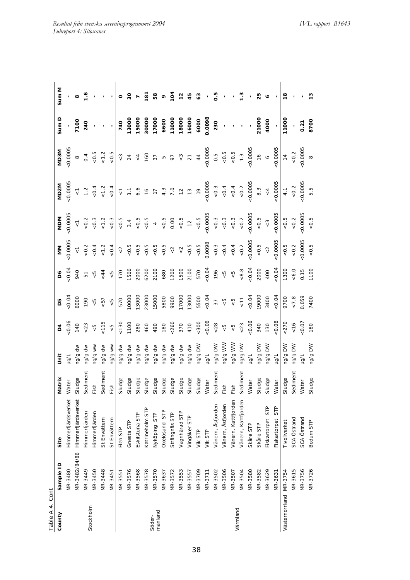| Table A 4. Cont        |               |                            |                                    |         |               |                           |                      |                                                           |                 |                                         |                  |                |                 |
|------------------------|---------------|----------------------------|------------------------------------|---------|---------------|---------------------------|----------------------|-----------------------------------------------------------|-----------------|-----------------------------------------|------------------|----------------|-----------------|
| County                 | Sample ID     | Site                       | Matrix                             | ii<br>5 | Δ4            | 50                        | δq                   | Š                                                         | <b>MDM</b>      | MD <sub>2</sub> M                       | MD3M             | Sum D          | Sum M           |
|                        | MR-3480       | Himmerfjärdsverket         | 'ater<br>$\geq$                    | T/6r1   | 50.06         | 0.04                      | 20.04                | 0.0005                                                    | 50005           | 0.0005                                  | 0.0005           |                |                 |
|                        | MR-3482/84/86 | Himmerfjärdsverket         | ludge<br>$\bar{\bar{\mathcal{Q}}}$ | wb 6/6u | 140           | 5000                      | 940                  | $\stackrel{\textstyle\phantom{0}}{\textstyle\phantom{0}}$ |                 | $\stackrel{\textstyle\centerdot}{\vee}$ |                  | 7100           | œ               |
| Stockholm              | MR-3449       | Himmerfjärden              | Sediment                           | ng/g dw | < 23          | 190                       | 51                   | 0.2                                                       | 0.2             | 1.2                                     | 0.4              | 240            | $\ddot{\bm{6}}$ |
|                        | MR-3450       | Himmerfjärden              | Fish                               | ww 6/6u | $\frac{5}{2}$ | $\frac{5}{5}$             | $\frac{5}{\sqrt{2}}$ | 0.4                                                       | $< 0.3$         | 0.4                                     | $50 - 5$         |                |                 |
|                        | MR-3448       | St Envättern               | Sediment                           | ng/g dw | 115           | 57                        | < 44                 | $\frac{2}{3}$                                             | 1.2             | 1.2                                     | < 1.2            |                |                 |
|                        | MR-3451       | St Envättern               | Fish                               | ww 6/6c | 47            | 5 >                       | 4>                   | 0.4                                                       | 0.3             | 0.4                                     | 0.5              |                |                 |
|                        | MR-3551       | Flen STP                   | Sludge                             | wb 6/6u | < 130         | 570                       | 170                  | $\frac{2}{3}$                                             | 0.5             | $\sqrt{2}$                              | $\sqrt{3}$       | 740            | ۰               |
|                        | MR-3576       | Gnesta STP                 | Sludge                             | ng/g dw | 1100          | 10000                     | 1500                 | 0.5                                                       | 3.4             | 3.1                                     | 24               | 13000          | 30              |
|                        | MR-3568       | Eskilstuna STP             | Sludge                             | hg/g dw | 280           | 13000                     | 2000                 | 0.5                                                       | 0.5             | 6.6                                     | $\overline{4}$   | 15000          |                 |
|                        | MR-3578       | Katrineholm STP            | Sludge                             | wp 6/6u | 460           | 23000                     | 6200                 | 0.5                                                       | 0.5             | $\frac{6}{2}$                           | 160              | 30000          | $\frac{5}{18}$  |
| manland<br>Söder-      | MR-3570       | Nyköping STP               | ludge<br>5                         | wp 6/6u | 490           | 15000                     | 2100                 | 0.5                                                       | 4               |                                         | 57               | 17000          | 58              |
|                        | MR-3637       | Oxelösund STP              | Sludge                             | wb 6/6u | 180           | 5800                      | 680                  | 0.5                                                       | 0.5             | $4.\overline{3}$                        | Б                | 6600           | o               |
|                        | MR-3572       | Strängnäs STP              | Sludge                             | ng/g dw | < 260         | 9900                      | 1200                 | $\sim$                                                    | 0.00            | 7.0                                     | 5                | 11000          | $\overline{5}$  |
|                        | MR-3553       | Vagnhärad STP              | Sludge                             | ng/g dw | 370           | 17000                     | 1500                 | $\frac{2}{3}$                                             | $50 - 5$        | $\frac{2}{3}$                           | $\sqrt{3}$       | 18000          | $\tilde{c}$     |
|                        | MR-3557       | Vingåker STP               | Sludge                             | wb b/bu | 410           | 13000                     | 2100                 | 0.5                                                       | $\overline{12}$ | $\frac{3}{2}$                           | $\overline{2}$   | 16000          | 45              |
|                        | MR-3709       | Vik STP                    | Sludge                             | NG 6/6u | 008 >         | 5500                      | 570                  | 0.5                                                       | 0.5             | $\frac{6}{1}$                           | 44               | 6000           | 63              |
|                        | MR-3711       | Vik STP                    | Water                              | T/6rl   | 0.06          | &0.04                     | 0.04                 | 0.0098                                                    | 0.0005          | 0.0005                                  | 0.0005           | 0.0098         |                 |
|                        | MR-3502       | Vänern, Åsfjorden          | Sediment                           | ng/g DW | $< 28$        | 37                        | 196                  | $< 0.3$                                                   | 0.3             | $< 0.3$                                 | $0.\overline{5}$ | 230            | $\overline{0}$  |
|                        | MR-3506       | Vänem, Åsfjorden           | Fish                               | ww p/pn | $\frac{5}{5}$ | $\frac{5}{5}$             | $\frac{5}{5}$        | 0.4                                                       | < 0.3           | 0.4                                     | 0.5              |                |                 |
| Värmland               | MR-3507       | Vänern, Kattfjorden        | Fish                               | ww p/pn | $\frac{5}{5}$ | $\frac{5}{2}$             | $\frac{5}{\sqrt{2}}$ | 0.4                                                       | & 0.3           | 0.4                                     | 0.5              |                |                 |
|                        | MR-3504       | Vänern, Kattfjorden        | Sediment                           | NG 6/6u | $<23$         | $\overline{\overline{a}}$ | $< 8.8$              | 0.2                                                       | 0.2             | $< 0.2$                                 | $1.\overline{3}$ |                | <u>ო</u>        |
|                        | MR-3580       | Skåre STP                  | Water                              | T/6rl   | 0.06          | 0.04                      | 0.04                 | 0.0005                                                    | 0.0005          | 0.0005                                  | 0.0005           |                |                 |
|                        | MR-3582       | Skåre STP                  | Sludge                             | Na b/bu | 340           | 19000                     | 2000                 | 0.5                                                       | 0.5             | 8.3                                     | $\frac{6}{2}$    | 21000          | 25              |
|                        | MR-3629       | <b>STP</b><br>Fiskartorpet | Sludge                             | NG 6/6u | 130           | 3400                      | 400                  | $\frac{2}{\sqrt{2}}$                                      | $\frac{3}{5}$   | $\overset{4}{\triangle}$                | $\circ$          | 4000           | ∘               |
|                        | MR-3631       | <b>STP</b><br>Fiskartorpet | Water                              | 1/Dri   | &0.06         | &0.04                     | 0.04                 | &0.0005                                                   | 50005           | 20005                                   | :0.0005          | $\blacksquare$ |                 |
| Västernorrland MR-3754 |               | Tivoliverket               | Sludge                             | mg/g DW | 270           | 9700                      | 1300                 | 0.5                                                       | $50 - 5$        | 4.1                                     | $\overline{4}$   | 11000          | $\infty$        |
|                        | MR-3615       | SCA Östrand                | Sediment                           | NG 6/6u | 16            | $5 - 7.8$                 | 6.0                  | 0.2                                                       | 0.2             | 0.2                                     | 0.2              | í,             |                 |
|                        | MR-3756       | SCA Östrand                | ater<br>≥                          | T/6rl   | 0.07          | 0.059                     | 0.15                 | 0.0005                                                    | 0.0005          | 0.0005                                  | 0.0005           | 0.21           |                 |
|                        | MR-3726       | Bodum STP                  | Sludge                             | wa 6/6u | 180           | 7400                      | 1100                 | 0.5                                                       | $5.00 - 5$      | 5.5                                     | $\infty$         | 8700           | $\tilde{c}$     |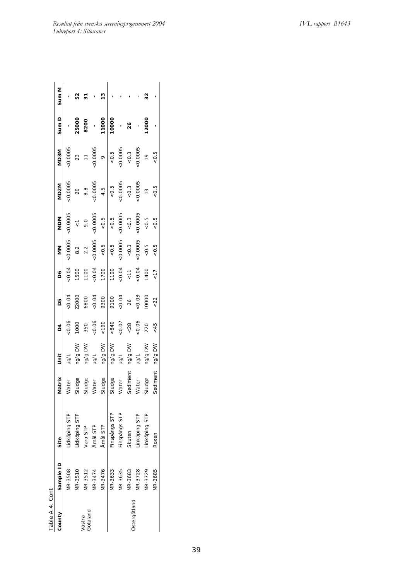| Table A 4. Cont    |           |               |              |              |       |        |                      |           |            |               |                           |                |               |
|--------------------|-----------|---------------|--------------|--------------|-------|--------|----------------------|-----------|------------|---------------|---------------------------|----------------|---------------|
| County             | Sample ID | Site          | atrix        | Ï            | 54    | 50     | ρé                   | Š         | <b>MDM</b> | <b>MD2M</b>   | MD3M                      | Sum D          | Sum M         |
|                    | MR-3508   | -idköping STP | Water        | lgr          | 0.06  | 0.04   | 50.04                | $-0.0005$ | 0.0005     | 0.0005        | 0.0005                    |                |               |
|                    | MR-3510   | -idköping STP | adae<br>ಕ    | ng/g DW      | 1000  | 22000  | 1500                 | 8.2       |            | 20            | 23                        | 25000          | 52            |
| Götaland<br>Västra | MR-3512   | Vara STP      | Sludge       | ng/g DW      | 350   | 6800   | 1100                 | 2.2       | 9.0        | 8.8           | $\overline{\overline{z}}$ | 8200           |               |
|                    | MR-3474   | Åmål STP      | Water        | T/Brl        | 0.06  | 0.04   | & 0.04               | 0.0005    | 20005      | 0.0005        | 0.0005                    | Ċ,             |               |
|                    | MR-3476   | Åmål STP      | ludge        | ng/g DW      | 061 > | 9300   | 1700                 | 0.5       | < 0.5      | 4.5           | $\circ$                   | 11000          | 13            |
|                    | MR-3633   | Finspångs STP | udge<br>ಕ    | mg/g DW      | < 840 | 9100   | 1100                 | 0.5       | $5.00 - 5$ | 5.05          | 5.05                      | 10000          |               |
|                    | MR-3635   | -inspångs STP | Water        | T/brl        | 0.07  | 0.04   | & 0.04               | 0.0005    | 0.0005     | 0.0005        | 0.0005                    |                |               |
| Östergötland       | MR-3683   | Skuten        | diment<br>တိ | ≳ີ<br>l 6/6u | & 28  | 26     | $\frac{1}{\sqrt{2}}$ | 0.3       | & 0.3      | & 0.3         | 0.3                       | $\frac{26}{5}$ |               |
|                    | MR-3728   | inköping STP  | Water        | T/6rt        | 0.06  | & 0.03 | & 0.04               | 20005     | 20005      | 20005         | 0.0005                    | ı              |               |
|                    | MR-3729   | inköping STP  | udge<br>ಕ    | ng/g DW      | 220   | 10000  | 1400                 | $-0.5$    | 0.5        | $\frac{3}{2}$ | $\frac{6}{2}$             | 12000          | $\frac{2}{3}$ |
|                    | MR-3685   | Roxen         | diment<br>S  | wa b/bu      | 45    | < 22   | $-17$                | 0.5       | $-0.5$     | 0.5           | $-0.5$                    |                |               |
|                    |           |               |              |              |       |        |                      |           |            |               |                           |                |               |